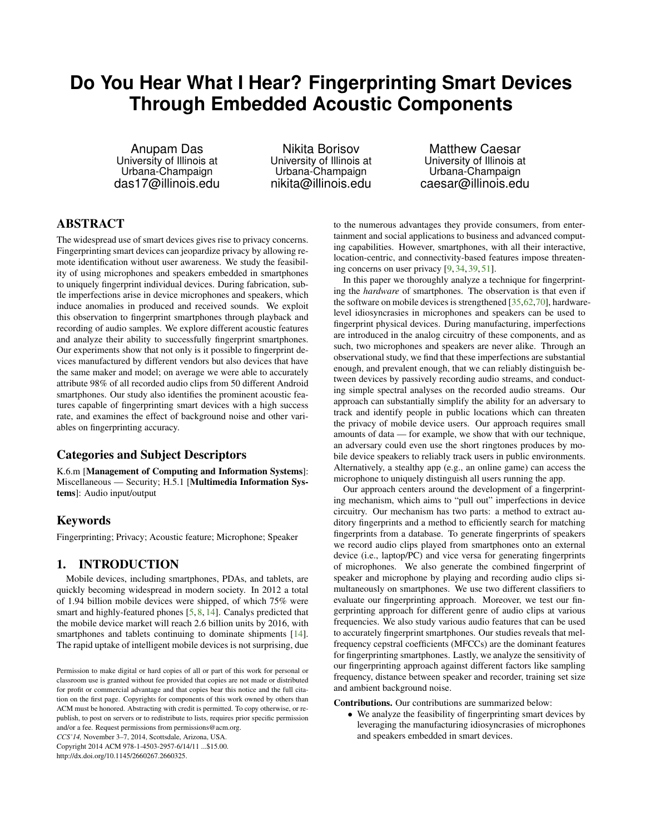# **Do You Hear What I Hear? Fingerprinting Smart Devices Through Embedded Acoustic Components**

Anupam Das University of Illinois at Urbana-Champaign das17@illinois.edu

Nikita Borisov University of Illinois at Urbana-Champaign nikita@illinois.edu

Matthew Caesar University of Illinois at Urbana-Champaign caesar@illinois.edu

## ABSTRACT

The widespread use of smart devices gives rise to privacy concerns. Fingerprinting smart devices can jeopardize privacy by allowing remote identification without user awareness. We study the feasibility of using microphones and speakers embedded in smartphones to uniquely fingerprint individual devices. During fabrication, subtle imperfections arise in device microphones and speakers, which induce anomalies in produced and received sounds. We exploit this observation to fingerprint smartphones through playback and recording of audio samples. We explore different acoustic features and analyze their ability to successfully fingerprint smartphones. Our experiments show that not only is it possible to fingerprint devices manufactured by different vendors but also devices that have the same maker and model; on average we were able to accurately attribute 98% of all recorded audio clips from 50 different Android smartphones. Our study also identifies the prominent acoustic features capable of fingerprinting smart devices with a high success rate, and examines the effect of background noise and other variables on fingerprinting accuracy.

## Categories and Subject Descriptors

K.6.m [Management of Computing and Information Systems]: Miscellaneous — Security; H.5.1 [Multimedia Information Systems]: Audio input/output

## Keywords

Fingerprinting; Privacy; Acoustic feature; Microphone; Speaker

## 1. INTRODUCTION

Mobile devices, including smartphones, PDAs, and tablets, are quickly becoming widespread in modern society. In 2012 a total of 1.94 billion mobile devices were shipped, of which 75% were smart and highly-featured phones [\[5,](#page-10-0) [8,](#page-10-1) [14\]](#page-10-2). Canalys predicted that the mobile device market will reach 2.6 billion units by 2016, with smartphones and tablets continuing to dominate shipments [\[14\]](#page-10-2). The rapid uptake of intelligent mobile devices is not surprising, due

*CCS'14,* November 3–7, 2014, Scottsdale, Arizona, USA. Copyright 2014 ACM 978-1-4503-2957-6/14/11 ...\$15.00. http://dx.doi.org/10.1145/2660267.2660325.

to the numerous advantages they provide consumers, from entertainment and social applications to business and advanced computing capabilities. However, smartphones, with all their interactive, location-centric, and connectivity-based features impose threatening concerns on user privacy [\[9,](#page-10-3) [34,](#page-10-4) [39,](#page-11-0) [51\]](#page-11-1).

In this paper we thoroughly analyze a technique for fingerprinting the *hardware* of smartphones. The observation is that even if the software on mobile devices is strengthened [\[35,](#page-11-2)[62,](#page-11-3)[70\]](#page-11-4), hardwarelevel idiosyncrasies in microphones and speakers can be used to fingerprint physical devices. During manufacturing, imperfections are introduced in the analog circuitry of these components, and as such, two microphones and speakers are never alike. Through an observational study, we find that these imperfections are substantial enough, and prevalent enough, that we can reliably distinguish between devices by passively recording audio streams, and conducting simple spectral analyses on the recorded audio streams. Our approach can substantially simplify the ability for an adversary to track and identify people in public locations which can threaten the privacy of mobile device users. Our approach requires small amounts of data — for example, we show that with our technique, an adversary could even use the short ringtones produces by mobile device speakers to reliably track users in public environments. Alternatively, a stealthy app (e.g., an online game) can access the microphone to uniquely distinguish all users running the app.

Our approach centers around the development of a fingerprinting mechanism, which aims to "pull out" imperfections in device circuitry. Our mechanism has two parts: a method to extract auditory fingerprints and a method to efficiently search for matching fingerprints from a database. To generate fingerprints of speakers we record audio clips played from smartphones onto an external device (i.e., laptop/PC) and vice versa for generating fingerprints of microphones. We also generate the combined fingerprint of speaker and microphone by playing and recording audio clips simultaneously on smartphones. We use two different classifiers to evaluate our fingerprinting approach. Moreover, we test our fingerprinting approach for different genre of audio clips at various frequencies. We also study various audio features that can be used to accurately fingerprint smartphones. Our studies reveals that melfrequency cepstral coefficients (MFCCs) are the dominant features for fingerprinting smartphones. Lastly, we analyze the sensitivity of our fingerprinting approach against different factors like sampling frequency, distance between speaker and recorder, training set size and ambient background noise.

Contributions. Our contributions are summarized below:

• We analyze the feasibility of fingerprinting smart devices by leveraging the manufacturing idiosyncrasies of microphones and speakers embedded in smart devices.

Permission to make digital or hard copies of all or part of this work for personal or classroom use is granted without fee provided that copies are not made or distributed for profit or commercial advantage and that copies bear this notice and the full citation on the first page. Copyrights for components of this work owned by others than ACM must be honored. Abstracting with credit is permitted. To copy otherwise, or republish, to post on servers or to redistribute to lists, requires prior specific permission and/or a fee. Request permissions from permissions@acm.org.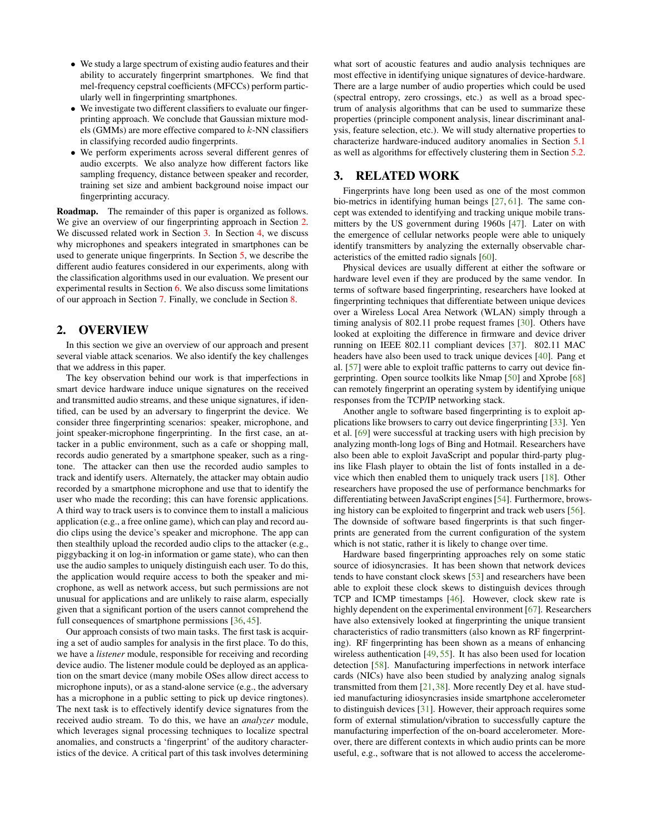- We study a large spectrum of existing audio features and their ability to accurately fingerprint smartphones. We find that mel-frequency cepstral coefficients (MFCCs) perform particularly well in fingerprinting smartphones.
- We investigate two different classifiers to evaluate our fingerprinting approach. We conclude that Gaussian mixture models (GMMs) are more effective compared to  $k$ -NN classifiers in classifying recorded audio fingerprints.
- We perform experiments across several different genres of audio excerpts. We also analyze how different factors like sampling frequency, distance between speaker and recorder, training set size and ambient background noise impact our fingerprinting accuracy.

Roadmap. The remainder of this paper is organized as follows. We give an overview of our fingerprinting approach in Section [2.](#page-1-0) We discussed related work in Section [3.](#page-1-1) In Section [4,](#page-2-0) we discuss why microphones and speakers integrated in smartphones can be used to generate unique fingerprints. In Section [5,](#page-2-1) we describe the different audio features considered in our experiments, along with the classification algorithms used in our evaluation. We present our experimental results in Section [6.](#page-4-0) We also discuss some limitations of our approach in Section [7.](#page-9-0) Finally, we conclude in Section [8.](#page-9-1)

## <span id="page-1-0"></span>2. OVERVIEW

In this section we give an overview of our approach and present several viable attack scenarios. We also identify the key challenges that we address in this paper.

The key observation behind our work is that imperfections in smart device hardware induce unique signatures on the received and transmitted audio streams, and these unique signatures, if identified, can be used by an adversary to fingerprint the device. We consider three fingerprinting scenarios: speaker, microphone, and joint speaker-microphone fingerprinting. In the first case, an attacker in a public environment, such as a cafe or shopping mall, records audio generated by a smartphone speaker, such as a ringtone. The attacker can then use the recorded audio samples to track and identify users. Alternately, the attacker may obtain audio recorded by a smartphone microphone and use that to identify the user who made the recording; this can have forensic applications. A third way to track users is to convince them to install a malicious application (e.g., a free online game), which can play and record audio clips using the device's speaker and microphone. The app can then stealthily upload the recorded audio clips to the attacker (e.g., piggybacking it on log-in information or game state), who can then use the audio samples to uniquely distinguish each user. To do this, the application would require access to both the speaker and microphone, as well as network access, but such permissions are not unusual for applications and are unlikely to raise alarm, especially given that a significant portion of the users cannot comprehend the full consequences of smartphone permissions [\[36,](#page-11-5) [45\]](#page-11-6).

Our approach consists of two main tasks. The first task is acquiring a set of audio samples for analysis in the first place. To do this, we have a *listener* module, responsible for receiving and recording device audio. The listener module could be deployed as an application on the smart device (many mobile OSes allow direct access to microphone inputs), or as a stand-alone service (e.g., the adversary has a microphone in a public setting to pick up device ringtones). The next task is to effectively identify device signatures from the received audio stream. To do this, we have an *analyzer* module, which leverages signal processing techniques to localize spectral anomalies, and constructs a 'fingerprint' of the auditory characteristics of the device. A critical part of this task involves determining

what sort of acoustic features and audio analysis techniques are most effective in identifying unique signatures of device-hardware. There are a large number of audio properties which could be used (spectral entropy, zero crossings, etc.) as well as a broad spectrum of analysis algorithms that can be used to summarize these properties (principle component analysis, linear discriminant analysis, feature selection, etc.). We will study alternative properties to characterize hardware-induced auditory anomalies in Section [5.1](#page-2-2) as well as algorithms for effectively clustering them in Section [5.2.](#page-3-0)

## <span id="page-1-1"></span>3. RELATED WORK

Fingerprints have long been used as one of the most common bio-metrics in identifying human beings [\[27,](#page-10-5) [61\]](#page-11-7). The same concept was extended to identifying and tracking unique mobile transmitters by the US government during 1960s [\[47\]](#page-11-8). Later on with the emergence of cellular networks people were able to uniquely identify transmitters by analyzing the externally observable characteristics of the emitted radio signals [\[60\]](#page-11-9).

Physical devices are usually different at either the software or hardware level even if they are produced by the same vendor. In terms of software based fingerprinting, researchers have looked at fingerprinting techniques that differentiate between unique devices over a Wireless Local Area Network (WLAN) simply through a timing analysis of 802.11 probe request frames [\[30\]](#page-10-6). Others have looked at exploiting the difference in firmware and device driver running on IEEE 802.11 compliant devices [\[37\]](#page-11-10). 802.11 MAC headers have also been used to track unique devices [\[40\]](#page-11-11). Pang et al. [\[57\]](#page-11-12) were able to exploit traffic patterns to carry out device fingerprinting. Open source toolkits like Nmap [\[50\]](#page-11-13) and Xprobe [\[68\]](#page-11-14) can remotely fingerprint an operating system by identifying unique responses from the TCP/IP networking stack.

Another angle to software based fingerprinting is to exploit applications like browsers to carry out device fingerprinting [\[33\]](#page-10-7). Yen et al. [\[69\]](#page-11-15) were successful at tracking users with high precision by analyzing month-long logs of Bing and Hotmail. Researchers have also been able to exploit JavaScript and popular third-party plugins like Flash player to obtain the list of fonts installed in a device which then enabled them to uniquely track users [\[18\]](#page-10-8). Other researchers have proposed the use of performance benchmarks for differentiating between JavaScript engines [\[54\]](#page-11-16). Furthermore, browsing history can be exploited to fingerprint and track web users [\[56\]](#page-11-17). The downside of software based fingerprints is that such fingerprints are generated from the current configuration of the system which is not static, rather it is likely to change over time.

Hardware based fingerprinting approaches rely on some static source of idiosyncrasies. It has been shown that network devices tends to have constant clock skews [\[53\]](#page-11-18) and researchers have been able to exploit these clock skews to distinguish devices through TCP and ICMP timestamps [\[46\]](#page-11-19). However, clock skew rate is highly dependent on the experimental environment [\[67\]](#page-11-20). Researchers have also extensively looked at fingerprinting the unique transient characteristics of radio transmitters (also known as RF fingerprinting). RF fingerprinting has been shown as a means of enhancing wireless authentication [\[49,](#page-11-21) [55\]](#page-11-22). It has also been used for location detection [\[58\]](#page-11-23). Manufacturing imperfections in network interface cards (NICs) have also been studied by analyzing analog signals transmitted from them [\[21](#page-10-9)[,38\]](#page-11-24). More recently Dey et al. have studied manufacturing idiosyncrasies inside smartphone accelerometer to distinguish devices [\[31\]](#page-10-10). However, their approach requires some form of external stimulation/vibration to successfully capture the manufacturing imperfection of the on-board accelerometer. Moreover, there are different contexts in which audio prints can be more useful, e.g., software that is not allowed to access the accelerome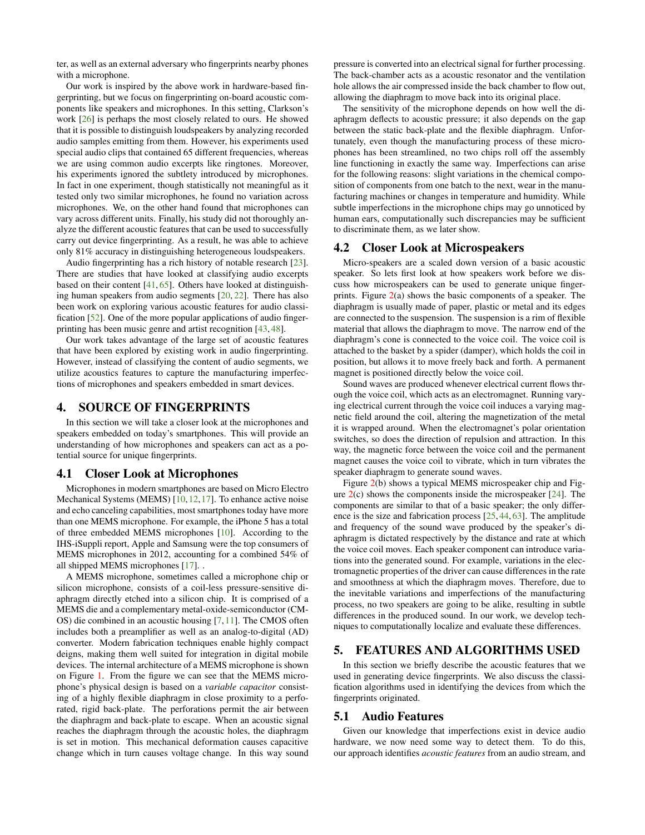ter, as well as an external adversary who fingerprints nearby phones with a microphone.

Our work is inspired by the above work in hardware-based fingerprinting, but we focus on fingerprinting on-board acoustic components like speakers and microphones. In this setting, Clarkson's work [\[26\]](#page-10-11) is perhaps the most closely related to ours. He showed that it is possible to distinguish loudspeakers by analyzing recorded audio samples emitting from them. However, his experiments used special audio clips that contained 65 different frequencies, whereas we are using common audio excerpts like ringtones. Moreover, his experiments ignored the subtlety introduced by microphones. In fact in one experiment, though statistically not meaningful as it tested only two similar microphones, he found no variation across microphones. We, on the other hand found that microphones can vary across different units. Finally, his study did not thoroughly analyze the different acoustic features that can be used to successfully carry out device fingerprinting. As a result, he was able to achieve only 81% accuracy in distinguishing heterogeneous loudspeakers.

Audio fingerprinting has a rich history of notable research [\[23\]](#page-10-12). There are studies that have looked at classifying audio excerpts based on their content [\[41,](#page-11-25) [65\]](#page-11-26). Others have looked at distinguishing human speakers from audio segments [\[20,](#page-10-13) [22\]](#page-10-14). There has also been work on exploring various acoustic features for audio classification [\[52\]](#page-11-27). One of the more popular applications of audio fingerprinting has been music genre and artist recognition [\[43,](#page-11-28) [48\]](#page-11-29).

Our work takes advantage of the large set of acoustic features that have been explored by existing work in audio fingerprinting. However, instead of classifying the content of audio segments, we utilize acoustics features to capture the manufacturing imperfections of microphones and speakers embedded in smart devices.

## <span id="page-2-0"></span>4. SOURCE OF FINGERPRINTS

In this section we will take a closer look at the microphones and speakers embedded on today's smartphones. This will provide an understanding of how microphones and speakers can act as a potential source for unique fingerprints.

## 4.1 Closer Look at Microphones

Microphones in modern smartphones are based on Micro Electro Mechanical Systems (MEMS) [\[10,](#page-10-15)[12,](#page-10-16)[17\]](#page-10-17). To enhance active noise and echo canceling capabilities, most smartphones today have more than one MEMS microphone. For example, the iPhone 5 has a total of three embedded MEMS microphones [\[10\]](#page-10-15). According to the IHS-iSuppli report, Apple and Samsung were the top consumers of MEMS microphones in 2012, accounting for a combined 54% of all shipped MEMS microphones [\[17\]](#page-10-17). .

A MEMS microphone, sometimes called a microphone chip or silicon microphone, consists of a coil-less pressure-sensitive diaphragm directly etched into a silicon chip. It is comprised of a MEMS die and a complementary metal-oxide-semiconductor (CM-OS) die combined in an acoustic housing [\[7,](#page-10-18)[11\]](#page-10-19). The CMOS often includes both a preamplifier as well as an analog-to-digital (AD) converter. Modern fabrication techniques enable highly compact deigns, making them well suited for integration in digital mobile devices. The internal architecture of a MEMS microphone is shown on Figure [1.](#page-3-1) From the figure we can see that the MEMS microphone's physical design is based on a *variable capacitor* consisting of a highly flexible diaphragm in close proximity to a perforated, rigid back-plate. The perforations permit the air between the diaphragm and back-plate to escape. When an acoustic signal reaches the diaphragm through the acoustic holes, the diaphragm is set in motion. This mechanical deformation causes capacitive change which in turn causes voltage change. In this way sound

pressure is converted into an electrical signal for further processing. The back-chamber acts as a acoustic resonator and the ventilation hole allows the air compressed inside the back chamber to flow out, allowing the diaphragm to move back into its original place.

The sensitivity of the microphone depends on how well the diaphragm deflects to acoustic pressure; it also depends on the gap between the static back-plate and the flexible diaphragm. Unfortunately, even though the manufacturing process of these microphones has been streamlined, no two chips roll off the assembly line functioning in exactly the same way. Imperfections can arise for the following reasons: slight variations in the chemical composition of components from one batch to the next, wear in the manufacturing machines or changes in temperature and humidity. While subtle imperfections in the microphone chips may go unnoticed by human ears, computationally such discrepancies may be sufficient to discriminate them, as we later show.

## 4.2 Closer Look at Microspeakers

Micro-speakers are a scaled down version of a basic acoustic speaker. So lets first look at how speakers work before we discuss how microspeakers can be used to generate unique fingerprints. Figure [2\(](#page-3-2)a) shows the basic components of a speaker. The diaphragm is usually made of paper, plastic or metal and its edges are connected to the suspension. The suspension is a rim of flexible material that allows the diaphragm to move. The narrow end of the diaphragm's cone is connected to the voice coil. The voice coil is attached to the basket by a spider (damper), which holds the coil in position, but allows it to move freely back and forth. A permanent magnet is positioned directly below the voice coil.

Sound waves are produced whenever electrical current flows through the voice coil, which acts as an electromagnet. Running varying electrical current through the voice coil induces a varying magnetic field around the coil, altering the magnetization of the metal it is wrapped around. When the electromagnet's polar orientation switches, so does the direction of repulsion and attraction. In this way, the magnetic force between the voice coil and the permanent magnet causes the voice coil to vibrate, which in turn vibrates the speaker diaphragm to generate sound waves.

Figure [2\(](#page-3-2)b) shows a typical MEMS microspeaker chip and Figure  $2(c)$  $2(c)$  shows the components inside the microspeaker [\[24\]](#page-10-20). The components are similar to that of a basic speaker; the only difference is the size and fabrication process [\[25,](#page-10-21) [44,](#page-11-30) [63\]](#page-11-31). The amplitude and frequency of the sound wave produced by the speaker's diaphragm is dictated respectively by the distance and rate at which the voice coil moves. Each speaker component can introduce variations into the generated sound. For example, variations in the electromagnetic properties of the driver can cause differences in the rate and smoothness at which the diaphragm moves. Therefore, due to the inevitable variations and imperfections of the manufacturing process, no two speakers are going to be alike, resulting in subtle differences in the produced sound. In our work, we develop techniques to computationally localize and evaluate these differences.

## <span id="page-2-1"></span>5. FEATURES AND ALGORITHMS USED

In this section we briefly describe the acoustic features that we used in generating device fingerprints. We also discuss the classification algorithms used in identifying the devices from which the fingerprints originated.

## <span id="page-2-2"></span>5.1 Audio Features

Given our knowledge that imperfections exist in device audio hardware, we now need some way to detect them. To do this, our approach identifies *acoustic features* from an audio stream, and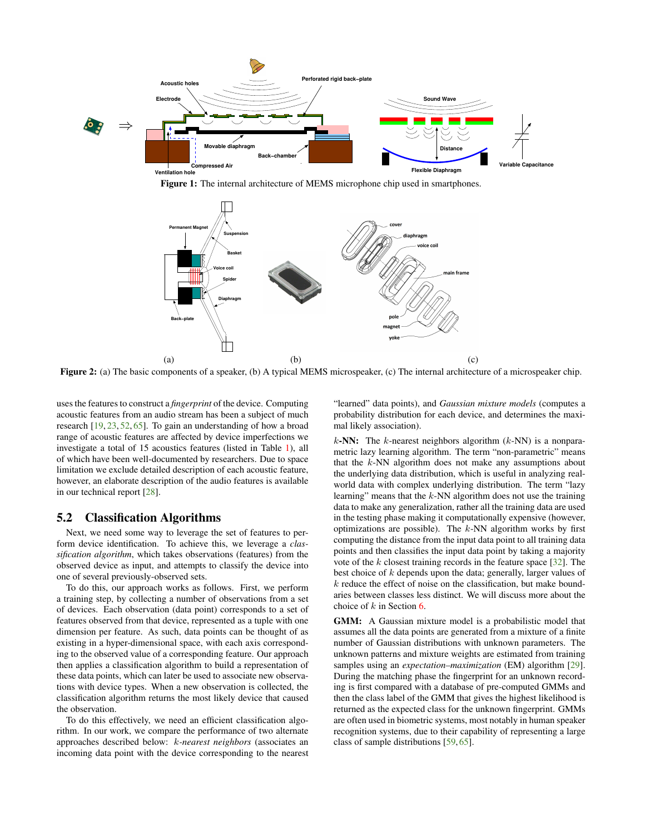<span id="page-3-1"></span>

Figure 1: The internal architecture of MEMS microphone chip used in smartphones.

<span id="page-3-2"></span>

Figure 2: (a) The basic components of a speaker, (b) A typical MEMS microspeaker, (c) The internal architecture of a microspeaker chip.

uses the features to construct a *fingerprint* of the device. Computing acoustic features from an audio stream has been a subject of much research [\[19,](#page-10-22) [23,](#page-10-12) [52,](#page-11-27) [65\]](#page-11-26). To gain an understanding of how a broad range of acoustic features are affected by device imperfections we investigate a total of 15 acoustics features (listed in Table [1\)](#page-4-1), all of which have been well-documented by researchers. Due to space limitation we exclude detailed description of each acoustic feature, however, an elaborate description of the audio features is available in our technical report [\[28\]](#page-10-23).

#### <span id="page-3-0"></span>5.2 Classification Algorithms

Next, we need some way to leverage the set of features to perform device identification. To achieve this, we leverage a *classification algorithm*, which takes observations (features) from the observed device as input, and attempts to classify the device into one of several previously-observed sets.

To do this, our approach works as follows. First, we perform a training step, by collecting a number of observations from a set of devices. Each observation (data point) corresponds to a set of features observed from that device, represented as a tuple with one dimension per feature. As such, data points can be thought of as existing in a hyper-dimensional space, with each axis corresponding to the observed value of a corresponding feature. Our approach then applies a classification algorithm to build a representation of these data points, which can later be used to associate new observations with device types. When a new observation is collected, the classification algorithm returns the most likely device that caused the observation.

To do this effectively, we need an efficient classification algorithm. In our work, we compare the performance of two alternate approaches described below: k*-nearest neighbors* (associates an incoming data point with the device corresponding to the nearest

"learned" data points), and *Gaussian mixture models* (computes a probability distribution for each device, and determines the maximal likely association).

 $k$ -NN: The  $k$ -nearest neighbors algorithm  $(k$ -NN) is a nonparametric lazy learning algorithm. The term "non-parametric" means that the  $k$ -NN algorithm does not make any assumptions about the underlying data distribution, which is useful in analyzing realworld data with complex underlying distribution. The term "lazy learning" means that the  $k$ -NN algorithm does not use the training data to make any generalization, rather all the training data are used in the testing phase making it computationally expensive (however, optimizations are possible). The  $k$ -NN algorithm works by first computing the distance from the input data point to all training data points and then classifies the input data point by taking a majority vote of the  $k$  closest training records in the feature space [\[32\]](#page-10-24). The best choice of k depends upon the data; generally, larger values of  $k$  reduce the effect of noise on the classification, but make boundaries between classes less distinct. We will discuss more about the choice of  $k$  in Section [6.](#page-4-0)

GMM: A Gaussian mixture model is a probabilistic model that assumes all the data points are generated from a mixture of a finite number of Gaussian distributions with unknown parameters. The unknown patterns and mixture weights are estimated from training samples using an *expectation–maximization* (EM) algorithm [\[29\]](#page-10-25). During the matching phase the fingerprint for an unknown recording is first compared with a database of pre-computed GMMs and then the class label of the GMM that gives the highest likelihood is returned as the expected class for the unknown fingerprint. GMMs are often used in biometric systems, most notably in human speaker recognition systems, due to their capability of representing a large class of sample distributions [\[59,](#page-11-32) [65\]](#page-11-26).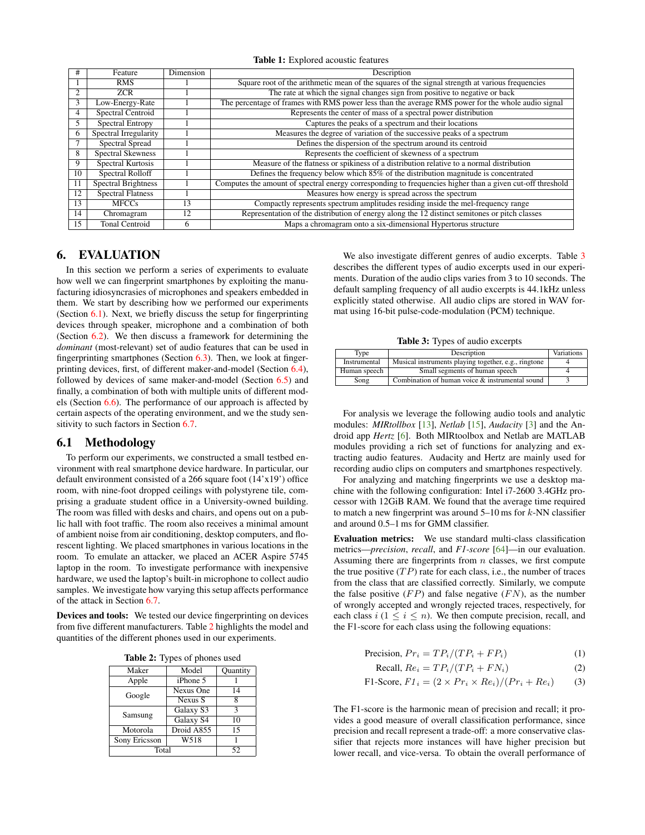| <b>Table 1:</b> Explored acoustic features |  |
|--------------------------------------------|--|
|                                            |  |

<span id="page-4-1"></span>

|    | Feature                  | Dimension | Description                                                                                               |
|----|--------------------------|-----------|-----------------------------------------------------------------------------------------------------------|
|    | <b>RMS</b>               |           | Square root of the arithmetic mean of the squares of the signal strength at various frequencies           |
|    | <b>ZCR</b>               |           | The rate at which the signal changes sign from positive to negative or back                               |
| 3  | Low-Energy-Rate          |           | The percentage of frames with RMS power less than the average RMS power for the whole audio signal        |
|    | Spectral Centroid        |           | Represents the center of mass of a spectral power distribution                                            |
|    | Spectral Entropy         |           | Captures the peaks of a spectrum and their locations                                                      |
| 6  | Spectral Irregularity    |           | Measures the degree of variation of the successive peaks of a spectrum                                    |
|    | Spectral Spread          |           | Defines the dispersion of the spectrum around its centroid                                                |
| 8  | <b>Spectral Skewness</b> |           | Represents the coefficient of skewness of a spectrum                                                      |
| 9  | <b>Spectral Kurtosis</b> |           | Measure of the flatness or spikiness of a distribution relative to a normal distribution                  |
| 10 | Spectral Rolloff         |           | Defines the frequency below which $85\%$ of the distribution magnitude is concentrated                    |
| 11 | Spectral Brightness      |           | Computes the amount of spectral energy corresponding to frequencies higher than a given cut-off threshold |
| 12 | <b>Spectral Flatness</b> |           | Measures how energy is spread across the spectrum                                                         |
| 13 | <b>MFCCs</b>             | 13        | Compactly represents spectrum amplitudes residing inside the mel-frequency range                          |
| 14 | Chromagram               | 12        | Representation of the distribution of energy along the 12 distinct semitones or pitch classes             |
| 15 | <b>Tonal Centroid</b>    | 6         | Maps a chromagram onto a six-dimensional Hypertorus structure                                             |

## <span id="page-4-0"></span>6. EVALUATION

In this section we perform a series of experiments to evaluate how well we can fingerprint smartphones by exploiting the manufacturing idiosyncrasies of microphones and speakers embedded in them. We start by describing how we performed our experiments (Section [6.1\)](#page-4-2). Next, we briefly discuss the setup for fingerprinting devices through speaker, microphone and a combination of both (Section [6.2\)](#page-5-0). We then discuss a framework for determining the *dominant* (most-relevant) set of audio features that can be used in fingerprinting smartphones (Section [6.3\)](#page-5-1). Then, we look at fingerprinting devices, first, of different maker-and-model (Section [6.4\)](#page-6-0), followed by devices of same maker-and-model (Section [6.5\)](#page-7-0) and finally, a combination of both with multiple units of different models (Section [6.6\)](#page-8-0). The performance of our approach is affected by certain aspects of the operating environment, and we the study sensitivity to such factors in Section [6.7.](#page-8-1)

#### <span id="page-4-2"></span>6.1 Methodology

To perform our experiments, we constructed a small testbed environment with real smartphone device hardware. In particular, our default environment consisted of a 266 square foot (14'x19') office room, with nine-foot dropped ceilings with polystyrene tile, comprising a graduate student office in a University-owned building. The room was filled with desks and chairs, and opens out on a public hall with foot traffic. The room also receives a minimal amount of ambient noise from air conditioning, desktop computers, and florescent lighting. We placed smartphones in various locations in the room. To emulate an attacker, we placed an ACER Aspire 5745 laptop in the room. To investigate performance with inexpensive hardware, we used the laptop's built-in microphone to collect audio samples. We investigate how varying this setup affects performance of the attack in Section [6.7.](#page-8-1)

<span id="page-4-3"></span>Devices and tools: We tested our device fingerprinting on devices from five different manufacturers. Table [2](#page-4-3) highlights the model and quantities of the different phones used in our experiments.

|  |  | <b>Table 2:</b> Types of phones used |  |
|--|--|--------------------------------------|--|
|--|--|--------------------------------------|--|

| Maker         | Model      | <b>Ouantity</b> |  |  |  |  |  |  |
|---------------|------------|-----------------|--|--|--|--|--|--|
| Apple         | iPhone 5   |                 |  |  |  |  |  |  |
| Google        | Nexus One  | 14              |  |  |  |  |  |  |
|               | Nexus S    | Q               |  |  |  |  |  |  |
| Samsung       | Galaxy S3  | 3               |  |  |  |  |  |  |
|               | Galaxy S4  | 10              |  |  |  |  |  |  |
| Motorola      | Droid A855 | 15              |  |  |  |  |  |  |
| Sony Ericsson | W518       |                 |  |  |  |  |  |  |
|               | Total      |                 |  |  |  |  |  |  |

We also investigate different genres of audio excerpts. Table [3](#page-4-4) describes the different types of audio excerpts used in our experiments. Duration of the audio clips varies from 3 to 10 seconds. The default sampling frequency of all audio excerpts is 44.1kHz unless explicitly stated otherwise. All audio clips are stored in WAV format using 16-bit pulse-code-modulation (PCM) technique.

Table 3: Types of audio excerpts

<span id="page-4-4"></span>

| <b>Type</b>  | Description                                          | Variations |
|--------------|------------------------------------------------------|------------|
| Instrumental | Musical instruments playing together, e.g., ringtone |            |
| Human speech | Small segments of human speech                       |            |
| Song         | Combination of human voice & instrumental sound      |            |

For analysis we leverage the following audio tools and analytic modules: *MIRtollbox* [\[13\]](#page-10-26), *Netlab* [\[15\]](#page-10-27), *Audacity* [\[3\]](#page-10-28) and the Android app *Hertz* [\[6\]](#page-10-29). Both MIRtoolbox and Netlab are MATLAB modules providing a rich set of functions for analyzing and extracting audio features. Audacity and Hertz are mainly used for recording audio clips on computers and smartphones respectively.

For analyzing and matching fingerprints we use a desktop machine with the following configuration: Intel i7-2600 3.4GHz processor with 12GiB RAM. We found that the average time required to match a new fingerprint was around  $5-10$  ms for  $k$ -NN classifier and around 0.5–1 ms for GMM classifier.

Evaluation metrics: We use standard multi-class classification metrics—*precision*, *recall*, and *F1-score* [\[64\]](#page-11-33)—in our evaluation. Assuming there are fingerprints from  $n$  classes, we first compute the true positive  $(TP)$  rate for each class, i.e., the number of traces from the class that are classified correctly. Similarly, we compute the false positive  $(FP)$  and false negative  $(FN)$ , as the number of wrongly accepted and wrongly rejected traces, respectively, for each class  $i$  ( $1 \le i \le n$ ). We then compute precision, recall, and the F1-score for each class using the following equations:

$$
\text{Precision}, Pr_i = TP_i / (TP_i + FP_i) \tag{1}
$$

Recall, 
$$
Re_i = TP_i/(TP_i + FN_i)
$$
 (2)

F1-Score, 
$$
F1_i = (2 \times Pr_i \times Re_i)/(Pr_i + Re_i)
$$
 (3)

The F1-score is the harmonic mean of precision and recall; it provides a good measure of overall classification performance, since precision and recall represent a trade-off: a more conservative classifier that rejects more instances will have higher precision but lower recall, and vice-versa. To obtain the overall performance of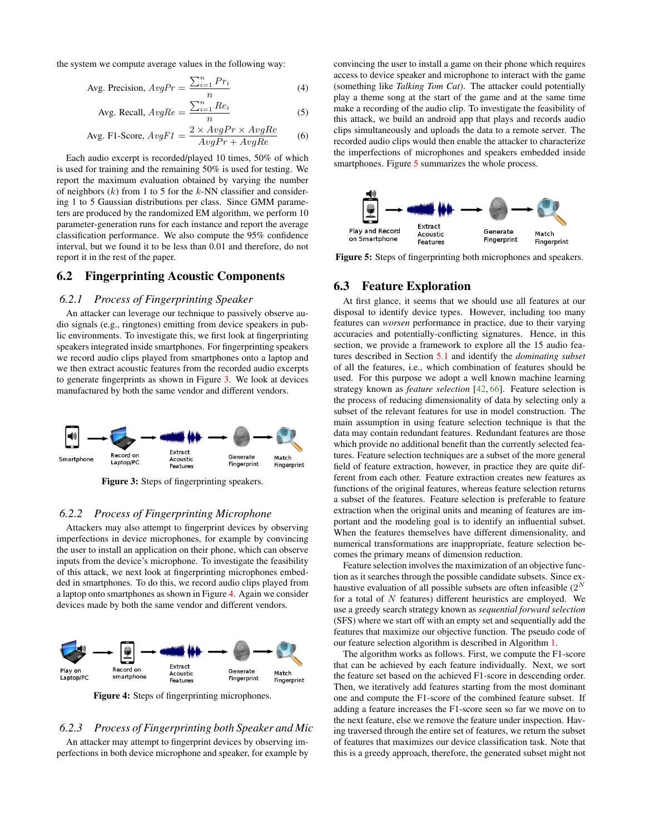the system we compute average values in the following way:

Avg. Precision, 
$$
AvgPr = \frac{\sum_{i=1}^{n} Pr_i}{n}
$$
 (4)

Avg. Recall, 
$$
AvgRe = \frac{\sum_{i=1}^{n} Re_i}{n}
$$
 (5)

$$
Avg. F1-Score, AvgF1 = \frac{2 \times AvgPr \times AvgRe}{AvgPr + AvgRe}
$$
 (6)

Each audio excerpt is recorded/played 10 times, 50% of which is used for training and the remaining 50% is used for testing. We report the maximum evaluation obtained by varying the number of neighbors  $(k)$  from 1 to 5 for the  $k$ -NN classifier and considering 1 to 5 Gaussian distributions per class. Since GMM parameters are produced by the randomized EM algorithm, we perform 10 parameter-generation runs for each instance and report the average classification performance. We also compute the 95% confidence interval, but we found it to be less than 0.01 and therefore, do not report it in the rest of the paper.

## <span id="page-5-0"></span>6.2 Fingerprinting Acoustic Components

#### *6.2.1 Process of Fingerprinting Speaker*

An attacker can leverage our technique to passively observe audio signals (e.g., ringtones) emitting from device speakers in public environments. To investigate this, we first look at fingerprinting speakers integrated inside smartphones. For fingerprinting speakers we record audio clips played from smartphones onto a laptop and we then extract acoustic features from the recorded audio excerpts to generate fingerprints as shown in Figure [3.](#page-5-2) We look at devices manufactured by both the same vendor and different vendors.

<span id="page-5-2"></span>

Figure 3: Steps of fingerprinting speakers.

#### *6.2.2 Process of Fingerprinting Microphone*

Attackers may also attempt to fingerprint devices by observing imperfections in device microphones, for example by convincing the user to install an application on their phone, which can observe inputs from the device's microphone. To investigate the feasibility of this attack, we next look at fingerprinting microphones embedded in smartphones. To do this, we record audio clips played from a laptop onto smartphones as shown in Figure [4.](#page-5-3) Again we consider devices made by both the same vendor and different vendors.

<span id="page-5-3"></span>

Figure 4: Steps of fingerprinting microphones.

#### *6.2.3 Process of Fingerprinting both Speaker and Mic*

An attacker may attempt to fingerprint devices by observing imperfections in both device microphone and speaker, for example by convincing the user to install a game on their phone which requires access to device speaker and microphone to interact with the game (something like *Talking Tom Cat*). The attacker could potentially play a theme song at the start of the game and at the same time make a recording of the audio clip. To investigate the feasibility of this attack, we build an android app that plays and records audio clips simultaneously and uploads the data to a remote server. The recorded audio clips would then enable the attacker to characterize the imperfections of microphones and speakers embedded inside smartphones. Figure [5](#page-5-4) summarizes the whole process.

<span id="page-5-4"></span>

Figure 5: Steps of fingerprinting both microphones and speakers.

## <span id="page-5-1"></span>6.3 Feature Exploration

At first glance, it seems that we should use all features at our disposal to identify device types. However, including too many features can *worsen* performance in practice, due to their varying accuracies and potentially-conflicting signatures. Hence, in this section, we provide a framework to explore all the 15 audio features described in Section [5.1](#page-2-2) and identify the *dominating subset* of all the features, i.e., which combination of features should be used. For this purpose we adopt a well known machine learning strategy known as *feature selection* [\[42,](#page-11-34) [66\]](#page-11-35). Feature selection is the process of reducing dimensionality of data by selecting only a subset of the relevant features for use in model construction. The main assumption in using feature selection technique is that the data may contain redundant features. Redundant features are those which provide no additional benefit than the currently selected features. Feature selection techniques are a subset of the more general field of feature extraction, however, in practice they are quite different from each other. Feature extraction creates new features as functions of the original features, whereas feature selection returns a subset of the features. Feature selection is preferable to feature extraction when the original units and meaning of features are important and the modeling goal is to identify an influential subset. When the features themselves have different dimensionality, and numerical transformations are inappropriate, feature selection becomes the primary means of dimension reduction.

Feature selection involves the maximization of an objective function as it searches through the possible candidate subsets. Since exhaustive evaluation of all possible subsets are often infeasible  $(2^N)$ for a total of  $N$  features) different heuristics are employed. We use a greedy search strategy known as *sequential forward selection* (SFS) where we start off with an empty set and sequentially add the features that maximize our objective function. The pseudo code of our feature selection algorithm is described in Algorithm [1.](#page-6-1)

The algorithm works as follows. First, we compute the F1-score that can be achieved by each feature individually. Next, we sort the feature set based on the achieved F1-score in descending order. Then, we iteratively add features starting from the most dominant one and compute the F1-score of the combined feature subset. If adding a feature increases the F1-score seen so far we move on to the next feature, else we remove the feature under inspection. Having traversed through the entire set of features, we return the subset of features that maximizes our device classification task. Note that this is a greedy approach, therefore, the generated subset might not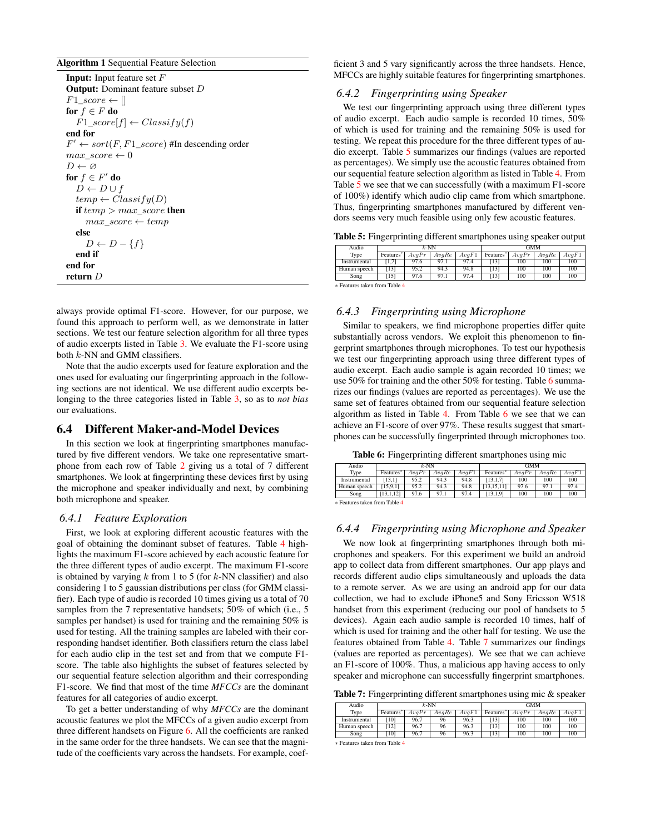#### <span id="page-6-1"></span>Algorithm 1 Sequential Feature Selection

| <b>Input:</b> Input feature set $F$                     |
|---------------------------------------------------------|
| <b>Output:</b> Dominant feature subset D                |
| $F1\_score \leftarrow   $                               |
| for $f \in F$ do                                        |
| $F1\_score[f] \leftarrow Classify(f)$                   |
| end for                                                 |
| $F' \leftarrow sort(F, F1\_score)$ #In descending order |
| $max\_score \leftarrow 0$                               |
| $D \leftarrow \varnothing$                              |
| for $f \in F'$ do                                       |
| $D \leftarrow D \cup f$                                 |
| $temp \leftarrow Classify(D)$                           |
| if $temp > max\_score$ then                             |
| $max\_score \leftarrow temp$                            |
| else                                                    |
| $D \leftarrow D - \{f\}$                                |
| end if                                                  |
| end for                                                 |
| return $D$                                              |

always provide optimal F1-score. However, for our purpose, we found this approach to perform well, as we demonstrate in latter sections. We test our feature selection algorithm for all three types of audio excerpts listed in Table [3.](#page-4-4) We evaluate the F1-score using both k-NN and GMM classifiers.

Note that the audio excerpts used for feature exploration and the ones used for evaluating our fingerprinting approach in the following sections are not identical. We use different audio excerpts belonging to the three categories listed in Table [3,](#page-4-4) so as to *not bias* our evaluations.

#### <span id="page-6-0"></span>6.4 Different Maker-and-Model Devices

In this section we look at fingerprinting smartphones manufactured by five different vendors. We take one representative smartphone from each row of Table [2](#page-4-3) giving us a total of 7 different smartphones. We look at fingerprinting these devices first by using the microphone and speaker individually and next, by combining both microphone and speaker.

#### *6.4.1 Feature Exploration*

First, we look at exploring different acoustic features with the goal of obtaining the dominant subset of features. Table [4](#page-7-1) highlights the maximum F1-score achieved by each acoustic feature for the three different types of audio excerpt. The maximum F1-score is obtained by varying  $k$  from 1 to 5 (for  $k$ -NN classifier) and also considering 1 to 5 gaussian distributions per class (for GMM classifier). Each type of audio is recorded 10 times giving us a total of 70 samples from the 7 representative handsets; 50% of which (i.e., 5 samples per handset) is used for training and the remaining 50% is used for testing. All the training samples are labeled with their corresponding handset identifier. Both classifiers return the class label for each audio clip in the test set and from that we compute F1 score. The table also highlights the subset of features selected by our sequential feature selection algorithm and their corresponding F1-score. We find that most of the time *MFCCs* are the dominant features for all categories of audio excerpt.

To get a better understanding of why *MFCCs* are the dominant acoustic features we plot the MFCCs of a given audio excerpt from three different handsets on Figure [6.](#page-7-2) All the coefficients are ranked in the same order for the three handsets. We can see that the magnitude of the coefficients vary across the handsets. For example, coefficient 3 and 5 vary significantly across the three handsets. Hence, MFCCs are highly suitable features for fingerprinting smartphones.

#### *6.4.2 Fingerprinting using Speaker*

We test our fingerprinting approach using three different types of audio excerpt. Each audio sample is recorded 10 times, 50% of which is used for training and the remaining 50% is used for testing. We repeat this procedure for the three different types of audio excerpt. Table [5](#page-6-2) summarizes our findings (values are reported as percentages). We simply use the acoustic features obtained from our sequential feature selection algorithm as listed in Table [4.](#page-7-1) From Table [5](#page-6-2) we see that we can successfully (with a maximum F1-score of 100%) identify which audio clip came from which smartphone. Thus, fingerprinting smartphones manufactured by different vendors seems very much feasible using only few acoustic features.

Table 5: Fingerprinting different smartphones using speaker output

<span id="page-6-2"></span>

| Audio        |                               | $k$ -NN |       |       | <b>GMM</b>            |                    |       |       |  |  |
|--------------|-------------------------------|---------|-------|-------|-----------------------|--------------------|-------|-------|--|--|
| Type         | Features*                     | AvaPr   | AvaRe | AvaF1 | Features <sup>*</sup> | $\overline{AvgPr}$ | AvaRe | AvaF1 |  |  |
| Instrumental | [1, 7]                        | 97.6    | 97.1  | 97.4  | [13]                  | 100                | 100   | 100   |  |  |
| Human speech | [13]                          | 95.2    | 94.3  | 94.8  | [13]                  | 100                | 100   | 100   |  |  |
| Song         | [15]                          | 97.6    | 97.1  | 97.4  | [13]                  | 100                | 100   | 100   |  |  |
|              | * Features taken from Table 4 |         |       |       |                       |                    |       |       |  |  |

#### *6.4.3 Fingerprinting using Microphone*

Similar to speakers, we find microphone properties differ quite substantially across vendors. We exploit this phenomenon to fingerprint smartphones through microphones. To test our hypothesis we test our fingerprinting approach using three different types of audio excerpt. Each audio sample is again recorded 10 times; we use 50% for training and the other 50% for testing. Table [6](#page-6-3) summarizes our findings (values are reported as percentages). We use the same set of features obtained from our sequential feature selection algorithm as listed in Table [4.](#page-7-1) From Table [6](#page-6-3) we see that we can achieve an F1-score of over 97%. These results suggest that smartphones can be successfully fingerprinted through microphones too.

Table 6: Fingerprinting different smartphones using mic

<span id="page-6-3"></span>

| Audio        |                               | $k$ -NN |       |       | <b>GMM</b>            |                    |       |       |  |  |  |  |
|--------------|-------------------------------|---------|-------|-------|-----------------------|--------------------|-------|-------|--|--|--|--|
| Type         | Features <sup>*</sup>         | AvaPr   | AvaRe | AvaF1 | Features <sup>*</sup> | $\overline{AvgPr}$ | AvaRe | AvaF1 |  |  |  |  |
| Instrumental | [13.1]                        | 95.2    | 94.3  | 94.8  | [13.1.7]              | 100                | 100   | 100   |  |  |  |  |
| Human speech | [15.9.1]                      | 95.2    | 94.3  | 94.8  | [13.15.11]            | 97.6               | 97.1  | 97.4  |  |  |  |  |
| Song         | [13.1.12]                     | 97.6    | 97.1  | 97.4  | [13.1.9]              | 100                | 100   | 100   |  |  |  |  |
|              | * Features taken from Table 4 |         |       |       |                       |                    |       |       |  |  |  |  |

## *6.4.4 Fingerprinting using Microphone and Speaker*

We now look at fingerprinting smartphones through both microphones and speakers. For this experiment we build an android app to collect data from different smartphones. Our app plays and records different audio clips simultaneously and uploads the data to a remote server. As we are using an android app for our data collection, we had to exclude iPhone5 and Sony Ericsson W518 handset from this experiment (reducing our pool of handsets to 5 devices). Again each audio sample is recorded 10 times, half of which is used for training and the other half for testing. We use the features obtained from Table [4.](#page-7-1) Table [7](#page-6-4) summarizes our findings (values are reported as percentages). We see that we can achieve an F1-score of 100%. Thus, a malicious app having access to only speaker and microphone can successfully fingerprint smartphones.

Table 7: Fingerprinting different smartphones using mic & speaker

<span id="page-6-4"></span>

| Audio        |           | $k$ -NN    |       |       | <b>GMM</b> |                    |            |       |  |  |
|--------------|-----------|------------|-------|-------|------------|--------------------|------------|-------|--|--|
| Type         | Features' | $_{AvgPr}$ | AvaRe | AvaF1 | Features'  | $\overline{AvgPr}$ | $_{AvaRe}$ | AvaF1 |  |  |
| Instrumental | 101       | 96.7       | 96    | 96.3  | [13]       | 100                | 100        | 100   |  |  |
| Human speech | 121       | 96.7       | 96    | 96.3  | [13]       | 100                | 100        | 100   |  |  |
| Song         | 101       | 96.7       | 96    | 96.3  | [13]       | 100                | 100        | 100   |  |  |
| $\sim$       | $-1$      |            |       |       |            |                    |            |       |  |  |

<sup>∗</sup> Features taken from Table [4](#page-7-1)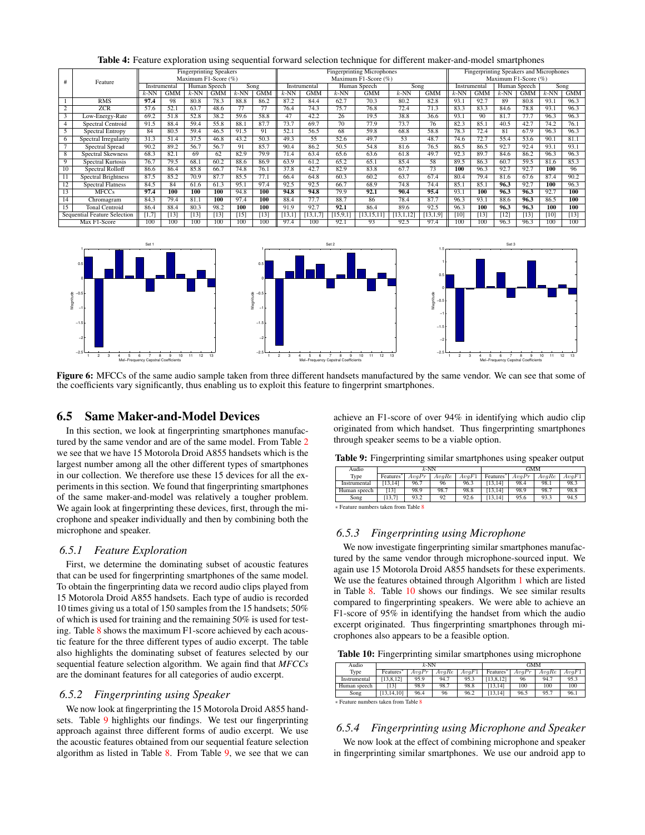<span id="page-7-1"></span>

|        |                                     |         |              |         | <b>Fingerprinting Speakers</b> |         |      |         | <b>Fingerprinting Microphones</b> |          |              |           |            | Fingerprinting Speakers and Microphones |              |         |              |         |      |
|--------|-------------------------------------|---------|--------------|---------|--------------------------------|---------|------|---------|-----------------------------------|----------|--------------|-----------|------------|-----------------------------------------|--------------|---------|--------------|---------|------|
| #      | Feature                             |         |              |         | Maximum F1-Score (%)           |         |      |         | Maximum F1-Score (%)              |          |              |           |            | Maximum F1-Score (%)                    |              |         |              |         |      |
|        |                                     |         | Instrumental |         | Human Speech                   |         | Song |         | Instrumental                      |          | Human Speech | Song      |            |                                         | Instrumental |         | Human Speech |         | Song |
|        |                                     | $k$ -NN | GMM          | $k$ -NN | GMM                            | $k$ -NN | GMM  | $k$ -NN | GMM                               | $k$ -NN  | <b>GMM</b>   | $k$ -NN   | <b>GMM</b> | $k$ -NN                                 | <b>GMM</b>   | $k$ -NN | GMM          | $k$ -NN | GMM  |
|        | <b>RMS</b>                          | 97.4    | 98           | 80.8    | 78.3                           | 88.8    | 86.2 | 87.2    | 84.4                              | 62.7     | 70.3         | 80.2      | 82.8       | 93.                                     | 92.7         | 89      | 80.8         | 93.1    | 96.3 |
| $\sim$ | <b>ZCR</b>                          | 57.6    | 52.1         | 63.7    | 48.6                           | 77      | 77   | 76.4    | 74.3                              | 75.7     | 76.8         | 72.4      | 71.3       | 83.3                                    | 83.3         | 84.6    | 78.8         | 93.1    | 96.3 |
| 3      | Low-Energy-Rate                     | 69.2    | 51.8         | 52.8    | 38.2                           | 59.6    | 58.8 | 47      | 42.2                              | 26       | 19.5         | 38.8      | 36.6       | 93.1                                    | 90           | 81.7    | 77.7         | 96.3    | 96.3 |
|        | Spectral Centroid                   | 91.5    | 88.4         | 59.4    | 55.8                           | 88.1    | 87.7 | 73.7    | 69.7                              | 70       | 77.9         | 73.7      | 76         | 82.3                                    | 85.1         | 40.5    | 42.7         | 74.2    | 76.1 |
| 5      | <b>Spectral Entropy</b>             | 84      | 80.5         | 59.4    | 46.5                           | 91.5    | 91   | 52.1    | 56.5                              | 68       | 59.8         | 68.8      | 58.8       | 78.3                                    | 72.4         | 81      | 67.9         | 96.3    | 96.3 |
| 6.     | Spectral Irregularity               | 31.3    | 51.4         | 37.5    | 46.8                           | 43.2    | 50.3 | 49.3    | 55                                | 52.6     | 49.7         | 53        | 48.7       | 74.6                                    | 72.7         | 55.4    | 53.6         | 90.1    | 81.1 |
|        | <b>Spectral Spread</b>              | 90.2    | 89.2         | 56.7    | 56.7                           | 91      | 85.7 | 90.4    | 86.2                              | 50.5     | 54.8         | 81.6      | 76.5       | 86.5                                    | 86.5         | 92.7    | 92.4         | 93.1    | 93.1 |
| 8      | <b>Spectral Skewness</b>            | 68.3    | 82.1         | 69      | 62                             | 82.9    | 79.9 | 71.4    | 63.4                              | 65.6     | 63.6         | 61.8      | 49.7       | 92.3                                    | 89.7         | 84.6    | 86.2         | 96.3    | 96.3 |
| 9      | Spectral Kurtosis                   | 76.7    | 79.5         | 68.1    | 60.2                           | 88.6    | 86.9 | 63.9    | 61.2                              | 65.2     | 65.1         | 85.4      | 58         | 89.5                                    | 86.3         | 60.7    | 59.5         | 81.6    | 85.3 |
| 10     | <b>Spectral Rolloff</b>             | 86.6    | 86.4         | 85.8    | 66.7                           | 74.8    | 76.1 | 37.8    | 42.7                              | 82.9     | 83.8         | 67.7      | 73         | 100                                     | 96.3         | 92.7    | 92.7         | 100     | 96   |
| 11     | <b>Spectral Brightness</b>          | 87.5    | 85.2         | 70.9    | 87.7                           | 85.5    | 77.1 | 66.4    | 64.8                              | 60.3     | 60.2         | 63.7      | 67.4       | 80.4                                    | 79.4         | 81.6    | 67.6         | 87.4    | 90.2 |
| 12     | <b>Spectral Flatness</b>            | 84.5    | 84           | 61.6    | 61.3                           | 95.1    | 97.4 | 92.5    | 92.5                              | 66.7     | 68.9         | 74.8      | 74.4       | 85.1                                    | 85.1         | 96.3    | 92.7         | 100     | 96.3 |
| 13     | <b>MFCCs</b>                        | 97.4    | 100          | 100     | 100                            | 94.8    | 100  | 94.8    | 94.8                              | 79.9     | 92.1         | 90.4      | 95.4       | 93.1                                    | 100          | 96.3    | 96.3         | 92.7    | 100  |
| 14     | Chromagram                          | 84.3    | 79.4         | 81.1    | 100                            | 97.4    | 100  | 88.4    | 77.7                              | 88.7     | 86           | 78.4      | 87.7       | 96.3                                    | 93.          | 88.6    | 96.3         | 86.5    | 100  |
| 15     | <b>Tonal Centroid</b>               | 86.4    | 88.4         | 80.3    | 98.2                           | 100     | 100  | 91.9    | 92.7                              | 92.1     | 86.4         | 89.6      | 92.5       | 96.3                                    | 100          | 96.3    | 96.3         | 100     | 100  |
|        | <b>Sequential Feature Selection</b> | 1.7     | $13$ ]       | $[13]$  | [13]                           | [15     | 13   | [13,1]  | 13,1.7                            | [15.9,1] | 13, 15, 11   | 13, 1, 12 | [13, 1, 9] | [10]                                    | 13           | $[12]$  | [13]         | [10]    | 13]  |
|        | Max F1-Score                        | 100     | 100          | 100     | 100                            | 100     | 100  | 97.4    | 100                               | 92.1     | 93           | 92.5      | 97.4       | 100                                     | 100          | 96.3    | 96.3         | 100     | 100  |

Table 4: Feature exploration using sequential forward selection technique for different maker-and-model smartphones

<span id="page-7-2"></span>

Figure 6: MFCCs of the same audio sample taken from three different handsets manufactured by the same vendor. We can see that some of the coefficients vary significantly, thus enabling us to exploit this feature to fingerprint smartphones.

## <span id="page-7-0"></span>6.5 Same Maker-and-Model Devices

In this section, we look at fingerprinting smartphones manufactured by the same vendor and are of the same model. From Table [2](#page-4-3) we see that we have 15 Motorola Droid A855 handsets which is the largest number among all the other different types of smartphones in our collection. We therefore use these 15 devices for all the experiments in this section. We found that fingerprinting smartphones of the same maker-and-model was relatively a tougher problem. We again look at fingerprinting these devices, first, through the microphone and speaker individually and then by combining both the microphone and speaker.

## *6.5.1 Feature Exploration*

First, we determine the dominating subset of acoustic features that can be used for fingerprinting smartphones of the same model. To obtain the fingerprinting data we record audio clips played from 15 Motorola Droid A855 handsets. Each type of audio is recorded 10 times giving us a total of 150 samples from the 15 handsets; 50% of which is used for training and the remaining 50% is used for testing. Table [8](#page-8-2) shows the maximum F1-score achieved by each acoustic feature for the three different types of audio excerpt. The table also highlights the dominating subset of features selected by our sequential feature selection algorithm. We again find that *MFCCs* are the dominant features for all categories of audio excerpt.

#### *6.5.2 Fingerprinting using Speaker*

We now look at fingerprinting the 15 Motorola Droid A855 handsets. Table [9](#page-7-3) highlights our findings. We test our fingerprinting approach against three different forms of audio excerpt. We use the acoustic features obtained from our sequential feature selection algorithm as listed in Table [8.](#page-8-2) From Table [9,](#page-7-3) we see that we can achieve an F1-score of over 94% in identifying which audio clip originated from which handset. Thus fingerprinting smartphones through speaker seems to be a viable option.

Table 9: Fingerprinting similar smartphones using speaker output

<span id="page-7-3"></span>

| Audio        |           | $k$ -NN |       |       | <b>GMM</b> |          |            |       |  |  |  |
|--------------|-----------|---------|-------|-------|------------|----------|------------|-------|--|--|--|
| Type         | Features* | AvaPr   | AvaRe | AvaF1 | Features*  | A v a Pr | $_{AvaRe}$ | AvaF1 |  |  |  |
| Instrumental | [13.14]   | 96.7    | 96    | 96.3  | [13.14]    | 98.4     | 98.1       | 98.3  |  |  |  |
| Human speech | '131      | 98.9    | 98.7  | 98.8  | [13.14]    | 98.9     | 98.7       | 98.8  |  |  |  |
| Song         | 13.71     | 93.2    | 92    | 92.6  | [13.14]    | 95.6     | 93.3       | 94.5  |  |  |  |
|              |           |         |       |       |            |          |            |       |  |  |  |

<sup>∗</sup> Feature numbers taken from Table [8](#page-8-2)

## *6.5.3 Fingerprinting using Microphone*

We now investigate fingerprinting similar smartphones manufactured by the same vendor through microphone-sourced input. We again use 15 Motorola Droid A855 handsets for these experiments. We use the features obtained through Algorithm [1](#page-6-1) which are listed in Table [8.](#page-8-2) Table [10](#page-7-4) shows our findings. We see similar results compared to fingerprinting speakers. We were able to achieve an F1-score of 95% in identifying the handset from which the audio excerpt originated. Thus fingerprinting smartphones through microphones also appears to be a feasible option.

Table 10: Fingerprinting similar smartphones using microphone

<span id="page-7-4"></span>

| Audio                                |                       | $k$ -NN            |       |       | <b>GMM</b>            |                    |       |       |  |  |
|--------------------------------------|-----------------------|--------------------|-------|-------|-----------------------|--------------------|-------|-------|--|--|
| Type                                 | Features <sup>*</sup> | $\overline{AvgPr}$ | AvaRe | AvaF1 | Features <sup>*</sup> | $\overline{AvgPr}$ | AvaRe | AvaF1 |  |  |
| Instrumental                         | 13.8.121              | 95.9               | 94.7  | 95.3  | [13, 8, 12]           | 96                 | 94.7  | 95.3  |  |  |
| Human speech                         | [13]                  | 98.9               | 98.7  | 98.8  | [13.14]               | 100                | 100   | 100   |  |  |
| Song                                 | [13, 14, 10]          | 96.4               | 96    | 96.2  | [13.14]               | 96.5               | 95.7  | 96.1  |  |  |
| * Feature numbers taken from Table 8 |                       |                    |       |       |                       |                    |       |       |  |  |

## *6.5.4 Fingerprinting using Microphone and Speaker*

We now look at the effect of combining microphone and speaker in fingerprinting similar smartphones. We use our android app to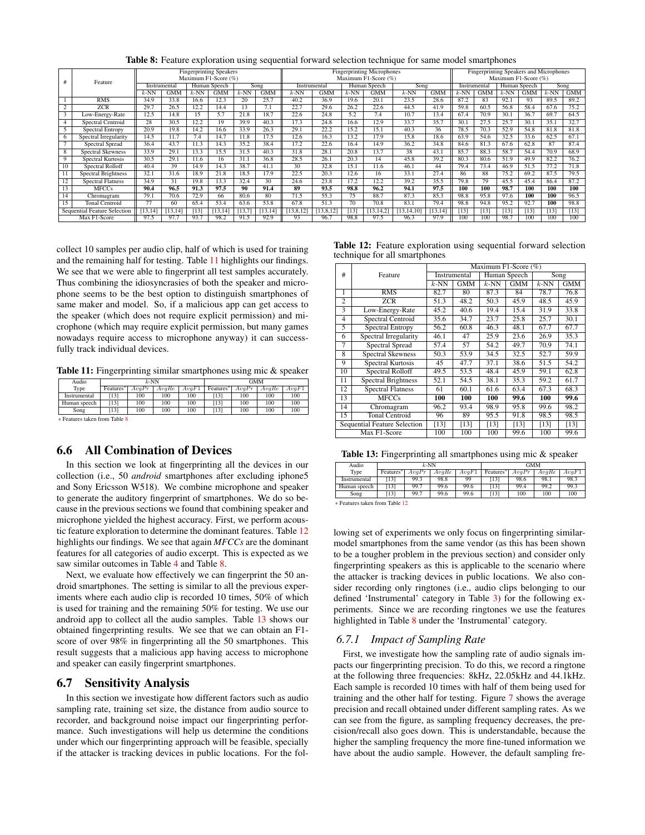<span id="page-8-2"></span>

|    |                              |              |            |         | <b>Fingerprinting Speakers</b><br>Maximum F1-Score (%) |         |            | <b>Fingerprinting Microphones</b><br>Maximum F1-Score (%) |              |         |              |              |            | Fingerprinting Speakers and Microphones<br>Maximum F1-Score (%) |            |         |              |         |            |
|----|------------------------------|--------------|------------|---------|--------------------------------------------------------|---------|------------|-----------------------------------------------------------|--------------|---------|--------------|--------------|------------|-----------------------------------------------------------------|------------|---------|--------------|---------|------------|
|    | Feature                      | Instrumental |            |         | Human Speech                                           |         | Song       |                                                           | Instrumental |         | Human Speech | Song         |            | Instrumental                                                    |            |         | Human Speech |         | Song       |
|    |                              | $k$ -NN      | <b>GMM</b> | $k$ -NN | <b>GMM</b>                                             | $k$ -NN | <b>GMM</b> | $k$ -NN                                                   | <b>GMM</b>   | $k$ -NN | <b>GMM</b>   | $k$ -NN      | <b>GMM</b> | $k$ -NN                                                         | <b>GMM</b> | $k$ -NN | <b>GMM</b>   | $k$ -NN | <b>GMM</b> |
|    | <b>RMS</b>                   | 34.9         | 33.8       | 16.6    | 12.3                                                   | 20      | 25.7       | 40.2                                                      | 36.9         | 19.6    | 20.1         | 23.5         | 28.6       | 87.2                                                            | 83         | 92.1    | 93           | 89.5    | 89.2       |
| 2  | <b>ZCR</b>                   | 29.7         | 26.5       | 12.2    | 14.4                                                   | 13      | 7.1        | 22.7                                                      | 29.6         | 26.2    | 22.6         | 44.5         | 41.9       | 59.8                                                            | 60.5       | 56.8    | 58.4         | 67.6    | 75.2       |
|    | Low-Energy-Rate              | 12.5         | 14.8       | 15      | $\overline{5.7}$                                       | 21.8    | 18.7       | 22.6                                                      | 24.8         | 5.2     | 7.4          | 10.7         | 13.4       | 67.4                                                            | 70.9       | 30.1    | 36.7         | 69.7    | 64.5       |
| 4  | Spectral Centroid            | 28           | 30.5       | 12.2    | 19                                                     | 39.9    | 40.3       | 17.3                                                      | 24.8         | 16.6    | 12.9         | 33.7         | 35.7       | 30.1                                                            | 27.5       | 25.7    | 30.1         | 35.1    | 32.7       |
| 5  | Spectral Entropy             | 20.9         | 19.8       | 14.2    | 16.6                                                   | 33.9    | 26.3       | 29.1                                                      | 22.2         | 15.2    | 15.1         | 40.3         | 36         | 78.5                                                            | 70.3       | 52.9    | 54.8         | 81.8    | 81.8       |
| 6  | Spectral Irregularity        | 14.5         | 11.7       | 7.4     | 14.7                                                   | 11.8    | 17.5       | 12.6                                                      | 16.3         | 13.2    | 17.9         | 15.8         | 18.6       | 63.9                                                            | 54.6       | 32.5    | 33.6         | 62.5    | 67.1       |
|    | Spectral Spread              | 36.4         | 43.7       | 11.3    | 14.3                                                   | 35.2    | 38.4       | 17.2                                                      | 22.6         | 16.4    | 14.9         | 36.2         | 34.8       | 84.6                                                            | 81.3       | 67.6    | 62.8         | 87      | 87.4       |
| 8  | <b>Spectral Skewness</b>     | 33.9         | 29.1       | 13.3    | 15.5                                                   | 31.5    | 40.3       | 31.8                                                      | 28.1         | 20.8    | 13.7         | 38           | 43.1       | 85.7                                                            | 88.3       | 58.7    | 54.4         | 70.9    | 68.9       |
| 9  | Spectral Kurtosis            | 30.5         | 29.1       | 11.6    | 16                                                     | 31.1    | 36.8       | 28.5                                                      | 26.1         | 20.3    | 14           | 45.8         | 39.2       | 80.3                                                            | 80.6       | 51.9    | 49.9         | 82.2    | 76.2       |
| 10 | Spectral Rolloff             | 40.4         | 39         | 14.9    | 14.3                                                   | 38.7    | 41.1       | 30                                                        | 32.8         | 15.1    | 11.6         | 46.1         | 44         | 79.4                                                            | 73.4       | 46.9    | 51.5         | 77.2    | 71.8       |
|    | Spectral Brightness          | 32.1         | 31.6       | 18.9    | 21.8                                                   | 18.5    | 17.9       | 22.5                                                      | 20.3         | 12.6    | 16           | 33.1         | 27.4       | 86                                                              | 88         | 75.2    | 69.2         | 87.5    | 79.5       |
| 12 | <b>Spectral Flatness</b>     | 34.9         | 31         | 19.8    | 13.3                                                   | 32.4    | 30         | 24.6                                                      | 23.8         | 17.2    | 12.2         | 39.2         | 35.5       | 79.8                                                            | 79         | 45.5    | 45.4         | 86.4    | 87.2       |
| 13 | <b>MFCCs</b>                 | 90.4         | 96.5       | 91.3    | 97.5                                                   | 90      | 91.4       | 89                                                        | 93.5         | 98.8    | 96.2         | 94.1         | 97.5       | 100                                                             | 100        | 98.7    | 100          | 100     | 100        |
| 14 | Chromagram                   | 79.1         | 70.6       | 72.9    | 66                                                     | 80.6    | 80         | 71.5                                                      | 55.3         | 75      | 88.7         | 87.3         | 85.3       | 98.8                                                            | 95.8       | 97.6    | 100          | 100     | 96.5       |
| 15 | <b>Tonal Centroid</b>        | 77           | 60         | 65.4    | 53.4                                                   | 63.6    | 53.8       | 67.8                                                      | 51.3         | 70      | 70.8         | 83.1         | 79.4       | 98.8                                                            | 94.8       | 95.2    | 92.7         | 100     | 98.8       |
|    | Sequential Feature Selection | [13, 14]     | 13,14      | [13]    | [13, 14]                                               | [13, 7] | [13, 14]   | 13,8,12]                                                  | [13, 8, 12]  | [13]    | [13, 14, 2]  | [13, 14, 10] | [13, 14]   | [13]                                                            | [13]       | [13]    | [13]         | [13]    | [13]       |
|    | Max F1-Score                 | 97.5         | 97.7       | 93.7    | 98.2                                                   | 91.5    | 92.9       | 93                                                        | 96.7         | 98.8    | 97.5         | 96.3         | 97.9       | 100                                                             | 100        | 98.7    | 100          | 100     | 100        |

Table 8: Feature exploration using sequential forward selection technique for same model smartphones

collect 10 samples per audio clip, half of which is used for training and the remaining half for testing. Table [11](#page-8-3) highlights our findings. We see that we were able to fingerprint all test samples accurately. Thus combining the idiosyncrasies of both the speaker and microphone seems to be the best option to distinguish smartphones of same maker and model. So, if a malicious app can get access to the speaker (which does not require explicit permission) and microphone (which may require explicit permission, but many games nowadays require access to microphone anyway) it can successfully track individual devices.

Table 11: Fingerprinting similar smartphones using mic & speaker

<span id="page-8-3"></span>

|                                    | Audio        |                       |                    | $k$ -NN<br><b>GMM</b> |                    |                       |                    |       |       |
|------------------------------------|--------------|-----------------------|--------------------|-----------------------|--------------------|-----------------------|--------------------|-------|-------|
|                                    | Type         | Features <sup>*</sup> | $\overline{AvgPr}$ | $_{AvaRe}$            | $\overline{AvgF1}$ | Features <sup>*</sup> | $\overline{AvgPr}$ | AvaRe | AvaF1 |
|                                    | Instrumental | [13]                  | 100                | 100                   | 100                | 131                   | 100                | 100   | 100   |
|                                    | Human speech | [13]                  | 100                | 100                   | 100                | 131                   | 100                | 100   | 100   |
|                                    | Song         | [13]                  | 100                | 100                   | 100                | [13]                  | 100                | 100   | 100   |
| $\blacksquare$<br>$\sim$<br>$-11-$ |              |                       |                    |                       |                    |                       |                    |       |       |

<sup>∗</sup> Features taken from Table [8](#page-8-2)

## <span id="page-8-0"></span>6.6 All Combination of Devices

In this section we look at fingerprinting all the devices in our collection (i.e., 50 *android* smartphones after excluding iphone5 and Sony Ericsson W518). We combine microphone and speaker to generate the auditory fingerprint of smartphones. We do so because in the previous sections we found that combining speaker and microphone yielded the highest accuracy. First, we perform acoustic feature exploration to determine the dominant features. Table [12](#page-8-4) highlights our findings. We see that again *MFCCs* are the dominant features for all categories of audio excerpt. This is expected as we saw similar outcomes in Table [4](#page-7-1) and Table [8.](#page-8-2)

Next, we evaluate how effectively we can fingerprint the 50 android smartphones. The setting is similar to all the previous experiments where each audio clip is recorded 10 times, 50% of which is used for training and the remaining 50% for testing. We use our android app to collect all the audio samples. Table [13](#page-8-5) shows our obtained fingerprinting results. We see that we can obtain an F1 score of over 98% in fingerprinting all the 50 smartphones. This result suggests that a malicious app having access to microphone and speaker can easily fingerprint smartphones.

## <span id="page-8-1"></span>6.7 Sensitivity Analysis

In this section we investigate how different factors such as audio sampling rate, training set size, the distance from audio source to recorder, and background noise impact our fingerprinting performance. Such investigations will help us determine the conditions under which our fingerprinting approach will be feasible, specially if the attacker is tracking devices in public locations. For the fol-

<span id="page-8-4"></span>Table 12: Feature exploration using sequential forward selection technique for all smartphones

|                |                                     | Maximum F1-Score (%) |              |         |              |         |            |  |  |  |
|----------------|-------------------------------------|----------------------|--------------|---------|--------------|---------|------------|--|--|--|
| #              | Feature                             |                      | Instrumental |         | Human Speech | Song    |            |  |  |  |
|                |                                     | $k$ -NN              | <b>GMM</b>   | $k$ -NN | <b>GMM</b>   | $k$ -NN | <b>GMM</b> |  |  |  |
| 1              | <b>RMS</b>                          | 82.7                 | 80           | 87.3    | 84           | 78.7    | 76.8       |  |  |  |
| $\overline{c}$ | <b>ZCR</b>                          | 51.3                 | 48.2         | 50.3    | 45.9         | 48.5    | 45.9       |  |  |  |
| 3              | Low-Energy-Rate                     | 45.2                 | 40.6         | 19.4    | 15.4         | 31.9    | 33.8       |  |  |  |
| $\overline{4}$ | Spectral Centroid                   | 35.6                 | 34.7         | 23.7    | 25.8         | 25.7    | 30.1       |  |  |  |
| 5              | <b>Spectral Entropy</b>             | 56.2                 | 60.8         | 46.3    | 48.1         | 67.7    | 67.7       |  |  |  |
| 6              | Spectral Irregularity               | 46.1                 | 47           | 25.9    | 23.6         | 26.9    | 35.3       |  |  |  |
| 7              | <b>Spectral Spread</b>              | 57.4                 | 57           | 54.2    | 49.7         | 70.9    | 74.1       |  |  |  |
| 8              | <b>Spectral Skewness</b>            | 50.3                 | 53.9         | 34.5    | 32.5         | 52.7    | 59.9       |  |  |  |
| 9              | Spectral Kurtosis                   | 45                   | 47.7         | 37.1    | 38.6         | 51.5    | 54.2       |  |  |  |
| 10             | <b>Spectral Rolloff</b>             | 49.5                 | 53.5         | 48.4    | 45.9         | 59.1    | 62.8       |  |  |  |
| 11             | <b>Spectral Brightness</b>          | 52.1                 | 54.5         | 38.1    | 35.3         | 59.2    | 61.7       |  |  |  |
| 12             | <b>Spectral Flatness</b>            | 61                   | 60.1         | 61.6    | 63.4         | 67.3    | 68.3       |  |  |  |
| 13             | <b>MFCCs</b>                        | 100                  | 100          | 100     | 99.6         | 100     | 99.6       |  |  |  |
| 14             | Chromagram                          | 96.2                 | 93.4         | 98.9    | 95.8         | 99.6    | 98.2       |  |  |  |
| 15             | <b>Tonal Centroid</b>               | 96                   | 89           | 95.5    | 91.8         | 98.5    | 98.5       |  |  |  |
|                | <b>Sequential Feature Selection</b> | [13]                 | [13]         | [13]    | [13]         | [13]    | [13]       |  |  |  |
|                | Max F1-Score                        | 100                  | 100          | 100     | 99.6         | 100     | 99.6       |  |  |  |

Table 13: Fingerprinting all smartphones using mic & speaker

<span id="page-8-5"></span>

| Audio                          |           | $k$ -NN            |       |                    | <b>GMM</b>            |                    |                    |       |  |
|--------------------------------|-----------|--------------------|-------|--------------------|-----------------------|--------------------|--------------------|-------|--|
| Type                           | Features' | $\overline{AvgPr}$ | AvaRe | $\overline{AvgF1}$ | Features <sup>*</sup> | $\overline{AvgPr}$ | $\overline{AvgRe}$ | AvaF1 |  |
| Instrumental                   | [13]      | 99.3               | 98.8  | 99                 | 131                   | 98.6               | 98.1               | 98.3  |  |
| Human speech                   | [13]      | 99.7               | 99.6  | 99.6               | '131                  | 99.4               | 99.2               | 99.3  |  |
| Song                           | [13]      | 99.7               | 99.6  | 99.6               | [13]                  | 100                | 100                | 100   |  |
| * Features taken from Table 12 |           |                    |       |                    |                       |                    |                    |       |  |

lowing set of experiments we only focus on fingerprinting similarmodel smartphones from the same vendor (as this has been shown to be a tougher problem in the previous section) and consider only fingerprinting speakers as this is applicable to the scenario where the attacker is tracking devices in public locations. We also consider recording only ringtones (i.e., audio clips belonging to our defined 'Instrumental' category in Table [3\)](#page-4-4) for the following experiments. Since we are recording ringtones we use the features highlighted in Table [8](#page-8-2) under the 'Instrumental' category.

#### *6.7.1 Impact of Sampling Rate*

First, we investigate how the sampling rate of audio signals impacts our fingerprinting precision. To do this, we record a ringtone at the following three frequencies: 8kHz, 22.05kHz and 44.1kHz. Each sample is recorded 10 times with half of them being used for training and the other half for testing. Figure [7](#page-9-2) shows the average precision and recall obtained under different sampling rates. As we can see from the figure, as sampling frequency decreases, the precision/recall also goes down. This is understandable, because the higher the sampling frequency the more fine-tuned information we have about the audio sample. However, the default sampling fre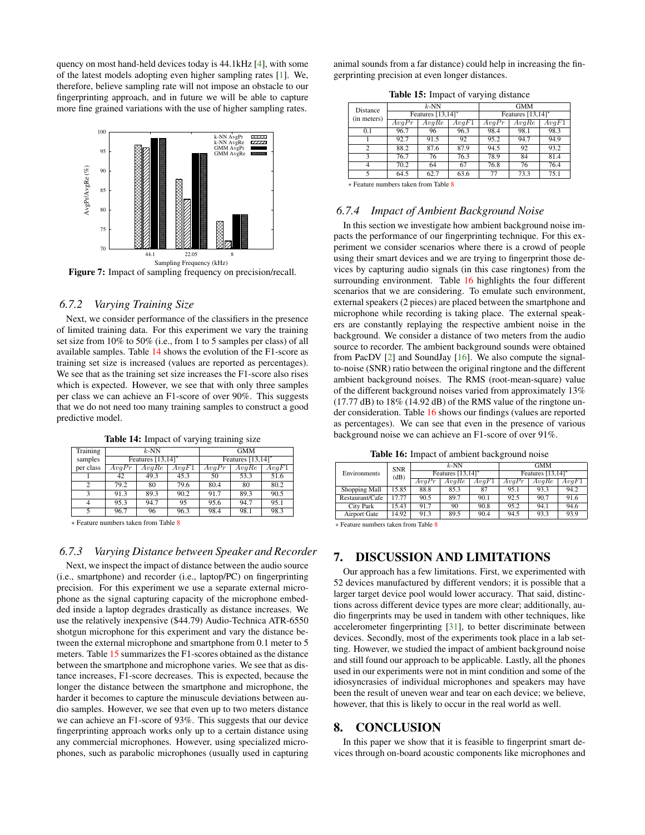quency on most hand-held devices today is 44.1kHz [\[4\]](#page-10-30), with some of the latest models adopting even higher sampling rates [\[1\]](#page-10-31). We, therefore, believe sampling rate will not impose an obstacle to our fingerprinting approach, and in future we will be able to capture more fine grained variations with the use of higher sampling rates.

<span id="page-9-2"></span>

#### *6.7.2 Varying Training Size*

Next, we consider performance of the classifiers in the presence of limited training data. For this experiment we vary the training set size from 10% to 50% (i.e., from 1 to 5 samples per class) of all available samples. Table [14](#page-9-3) shows the evolution of the F1-score as training set size is increased (values are reported as percentages). We see that as the training set size increases the F1-score also rises which is expected. However, we see that with only three samples per class we can achieve an F1-score of over 90%. This suggests that we do not need too many training samples to construct a good predictive model.

Table 14: Impact of varying training size

<span id="page-9-3"></span>

| Training  | $k$ -NN |                                 |       | <b>GMM</b> |                                  |       |  |  |
|-----------|---------|---------------------------------|-------|------------|----------------------------------|-------|--|--|
| samples   |         | Features $\overline{[13,14]}^*$ |       |            | Features $[13, 14]$ <sup>*</sup> |       |  |  |
| per class | AvgPr   | AvgRe                           | AvgF1 | AvqPr      | AvgRe                            | AvgF1 |  |  |
|           | 42      | 49.3                            | 45.3  | 50         | 53.3                             | 51.6  |  |  |
| っ         | 79.2    | 80                              | 79.6  | 80.4       | 80                               | 80.2  |  |  |
| 3         | 91.3    | 89.3                            | 90.2  | 91.7       | 89.3                             | 90.5  |  |  |
| 4         | 95.3    | 94.7                            | 95    | 95.6       | 94.7                             | 95.1  |  |  |
|           | 96.7    | 96                              | 96.3  | 98.4       | 98.1                             | 98.3  |  |  |

∗ Feature numbers taken from Table [8](#page-8-2)

## *6.7.3 Varying Distance between Speaker and Recorder*

Next, we inspect the impact of distance between the audio source (i.e., smartphone) and recorder (i.e., laptop/PC) on fingerprinting precision. For this experiment we use a separate external microphone as the signal capturing capacity of the microphone embedded inside a laptop degrades drastically as distance increases. We use the relatively inexpensive (\$44.79) Audio-Technica ATR-6550 shotgun microphone for this experiment and vary the distance between the external microphone and smartphone from 0.1 meter to 5 meters. Table [15](#page-9-4) summarizes the F1-scores obtained as the distance between the smartphone and microphone varies. We see that as distance increases, F1-score decreases. This is expected, because the longer the distance between the smartphone and microphone, the harder it becomes to capture the minuscule deviations between audio samples. However, we see that even up to two meters distance we can achieve an F1-score of 93%. This suggests that our device fingerprinting approach works only up to a certain distance using any commercial microphones. However, using specialized microphones, such as parabolic microphones (usually used in capturing animal sounds from a far distance) could help in increasing the fingerprinting precision at even longer distances.

Table 15: Impact of varying distance

<span id="page-9-4"></span>

| Distance    |       | $k$ -NN           |                    | <b>GMM</b><br>Features [13,14]* |       |       |  |  |
|-------------|-------|-------------------|--------------------|---------------------------------|-------|-------|--|--|
| (in meters) |       | Features [13,14]* |                    |                                 |       |       |  |  |
|             | AvqPr | AvgRe             | $\overline{AvgF1}$ | AvqPr                           | AvgRe | AvgF1 |  |  |
| 0.1         | 96.7  | 96                | 96.3               | 98.4                            | 98.1  | 98.3  |  |  |
|             | 92.7  | 91.5              | 92                 | 95.2                            | 94.7  | 94.9  |  |  |
| 2           | 88.2  | 87.6              | 87.9               | 94.5                            | 92    | 93.2  |  |  |
| 3           | 76.7  | 76                | 76.3               | 78.9                            | 84    | 81.4  |  |  |
| 4           | 70.2  | 64                | 67                 | 76.8                            | 76    | 76.4  |  |  |
| 5           | 64.5  | 62.7              | 63.6               | 77                              | 73.3  | 75.1  |  |  |

∗ Feature numbers taken from Table [8](#page-8-2)

## *6.7.4 Impact of Ambient Background Noise*

In this section we investigate how ambient background noise impacts the performance of our fingerprinting technique. For this experiment we consider scenarios where there is a crowd of people using their smart devices and we are trying to fingerprint those devices by capturing audio signals (in this case ringtones) from the surrounding environment. Table [16](#page-9-5) highlights the four different scenarios that we are considering. To emulate such environment, external speakers (2 pieces) are placed between the smartphone and microphone while recording is taking place. The external speakers are constantly replaying the respective ambient noise in the background. We consider a distance of two meters from the audio source to recorder. The ambient background sounds were obtained from PacDV [\[2\]](#page-10-32) and SoundJay [\[16\]](#page-10-33). We also compute the signalto-noise (SNR) ratio between the original ringtone and the different ambient background noises. The RMS (root-mean-square) value of the different background noises varied from approximately 13%  $(17.77 \text{ dB})$  to  $18\%$   $(14.92 \text{ dB})$  of the RMS value of the ringtone under consideration. Table [16](#page-9-5) shows our findings (values are reported as percentages). We can see that even in the presence of various background noise we can achieve an F1-score of over 91%.

Table 16: Impact of ambient background noise

<span id="page-9-5"></span>

|       |            | $k$ -NN |       | <b>GMM</b>                      |       |       |  |
|-------|------------|---------|-------|---------------------------------|-------|-------|--|
| (dB)  |            |         |       | Features $[13,14]$ <sup>*</sup> |       |       |  |
|       | AvaPr      | AvgRe   | AvaF1 | AvgPr                           | AvaRe | AvgF1 |  |
| 15.85 | 88.8       | 85.3    | 87    | 95.1                            | 93.3  | 94.2  |  |
| 17.77 | 90.5       | 89.7    | 90.1  | 92.5                            | 90.7  | 91.6  |  |
| 15.43 | 91.7       | 90      | 90.8  | 95.2                            | 94.1  | 94.6  |  |
| 14.92 | 91.3       | 89.5    | 90.4  | 94.5                            | 93.3  | 93.9  |  |
|       | <b>SNR</b> |         |       | Features $[13,14]$ <sup>*</sup> |       |       |  |

∗ Feature numbers taken from Table [8](#page-8-2)

## <span id="page-9-0"></span>7. DISCUSSION AND LIMITATIONS

Our approach has a few limitations. First, we experimented with 52 devices manufactured by different vendors; it is possible that a larger target device pool would lower accuracy. That said, distinctions across different device types are more clear; additionally, audio fingerprints may be used in tandem with other techniques, like accelerometer fingerprinting [\[31\]](#page-10-10), to better discriminate between devices. Secondly, most of the experiments took place in a lab setting. However, we studied the impact of ambient background noise and still found our approach to be applicable. Lastly, all the phones used in our experiments were not in mint condition and some of the idiosyncrasies of individual microphones and speakers may have been the result of uneven wear and tear on each device; we believe, however, that this is likely to occur in the real world as well.

## <span id="page-9-1"></span>8. CONCLUSION

In this paper we show that it is feasible to fingerprint smart devices through on-board acoustic components like microphones and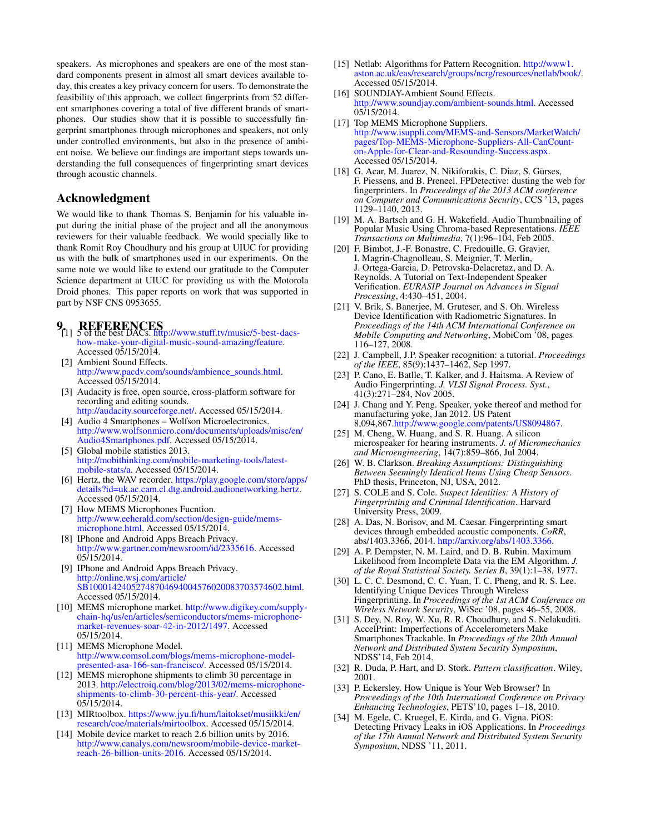speakers. As microphones and speakers are one of the most standard components present in almost all smart devices available today, this creates a key privacy concern for users. To demonstrate the feasibility of this approach, we collect fingerprints from 52 different smartphones covering a total of five different brands of smartphones. Our studies show that it is possible to successfully fingerprint smartphones through microphones and speakers, not only under controlled environments, but also in the presence of ambient noise. We believe our findings are important steps towards understanding the full consequences of fingerprinting smart devices through acoustic channels.

## Acknowledgment

We would like to thank Thomas S. Benjamin for his valuable input during the initial phase of the project and all the anonymous reviewers for their valuable feedback. We would specially like to thank Romit Roy Choudhury and his group at UIUC for providing us with the bulk of smartphones used in our experiments. On the same note we would like to extend our gratitude to the Computer Science department at UIUC for providing us with the Motorola Droid phones. This paper reports on work that was supported in part by NSF CNS 0953655.

- <span id="page-10-31"></span>9. REFERENCES<br>[1] 5 of the best DACs. [http://www.stuff.tv/music/5-best-dacs](http://www.stuff.tv/music/5-best-dacs-how-make-your-digital-music-sound-amazing/feature)[how-make-your-digital-music-sound-amazing/feature.](http://www.stuff.tv/music/5-best-dacs-how-make-your-digital-music-sound-amazing/feature) Accessed 05/15/2014.
- <span id="page-10-32"></span>[2] Ambient Sound Effects. [http://www.pacdv.com/sounds/ambience\\_sounds.html.](http://www.pacdv.com/sounds/ambience_sounds.html) Accessed 05/15/2014.
- <span id="page-10-28"></span>[3] Audacity is free, open source, cross-platform software for recording and editing sounds. [http://audacity.sourceforge.net/.](http://audacity.sourceforge.net/) Accessed 05/15/2014.
- <span id="page-10-30"></span>[4] Audio 4 Smartphones – Wolfson Microelectronics. [http://www.wolfsonmicro.com/documents/uploads/misc/en/](http://www.wolfsonmicro.com/documents/uploads/misc/en/Audio4Smartphones.pdf) [Audio4Smartphones.pdf.](http://www.wolfsonmicro.com/documents/uploads/misc/en/Audio4Smartphones.pdf) Accessed 05/15/2014.
- <span id="page-10-0"></span>[5] Global mobile statistics 2013. [http://mobithinking.com/mobile-marketing-tools/latest](http://mobithinking.com/mobile-marketing-tools/latest-mobile-stats/a)[mobile-stats/a.](http://mobithinking.com/mobile-marketing-tools/latest-mobile-stats/a) Accessed 05/15/2014.
- <span id="page-10-29"></span>[6] Hertz, the WAV recorder. [https://play.google.com/store/apps/](https://play.google.com/store/apps/details?id=uk.ac.cam.cl.dtg.android.audionetworking.hertz) [details?id=uk.ac.cam.cl.dtg.android.audionetworking.hertz.](https://play.google.com/store/apps/details?id=uk.ac.cam.cl.dtg.android.audionetworking.hertz) Accessed 05/15/2014.
- <span id="page-10-18"></span>[7] How MEMS Microphones Fucntion. [http://www.eeherald.com/section/design-guide/mems](http://www.eeherald.com/section/design-guide/mems-microphone.html)[microphone.html.](http://www.eeherald.com/section/design-guide/mems-microphone.html) Accessed 05/15/2014.
- <span id="page-10-1"></span>[8] IPhone and Android Apps Breach Privacy. [http://www.gartner.com/newsroom/id/2335616.](http://www.gartner.com/newsroom/id/2335616) Accessed 05/15/2014.
- <span id="page-10-3"></span>[9] IPhone and Android Apps Breach Privacy. [http://online.wsj.com/article/]( http://online.wsj.com/article/SB10001424052748704694004576020083703574602.html ) [SB10001424052748704694004576020083703574602.html.]( http://online.wsj.com/article/SB10001424052748704694004576020083703574602.html ) Accessed 05/15/2014.
- <span id="page-10-15"></span>[10] MEMS microphone market. [http://www.digikey.com/supply](http://www.digikey.com/supply-chain-hq/us/en/articles/semiconductors/mems-microphone-market-revenues-soar-42-in-2012/1497)[chain-hq/us/en/articles/semiconductors/mems-microphone](http://www.digikey.com/supply-chain-hq/us/en/articles/semiconductors/mems-microphone-market-revenues-soar-42-in-2012/1497)[market-revenues-soar-42-in-2012/1497.](http://www.digikey.com/supply-chain-hq/us/en/articles/semiconductors/mems-microphone-market-revenues-soar-42-in-2012/1497) Accessed 05/15/2014.
- <span id="page-10-19"></span>[11] MEMS Microphone Model. [http://www.comsol.com/blogs/mems-microphone-model](http://www.comsol.com/blogs/mems-microphone-model-presented-asa-166-san-francisco/)[presented-asa-166-san-francisco/.](http://www.comsol.com/blogs/mems-microphone-model-presented-asa-166-san-francisco/) Accessed 05/15/2014.
- <span id="page-10-16"></span>[12] MEMS microphone shipments to climb 30 percentage in 2013. [http://electroiq.com/blog/2013/02/mems-microphone](http://electroiq.com/blog/2013/02/mems-microphone-shipments-to-climb-30-percent-this-year/)[shipments-to-climb-30-percent-this-year/.](http://electroiq.com/blog/2013/02/mems-microphone-shipments-to-climb-30-percent-this-year/) Accessed 05/15/2014.
- <span id="page-10-26"></span>[13] MIRtoolbox. [https://www.jyu.fi/hum/laitokset/musiikki/en/](https://www.jyu.fi/hum/laitokset/musiikki/en/research/coe/materials/mirtoolbox) [research/coe/materials/mirtoolbox.](https://www.jyu.fi/hum/laitokset/musiikki/en/research/coe/materials/mirtoolbox) Accessed 05/15/2014.
- <span id="page-10-2"></span>[14] Mobile device market to reach 2.6 billion units by 2016. [http://www.canalys.com/newsroom/mobile-device-market](http://www.canalys.com/newsroom/mobile-device-market-reach-26-billion-units-2016)[reach-26-billion-units-2016.](http://www.canalys.com/newsroom/mobile-device-market-reach-26-billion-units-2016) Accessed 05/15/2014.
- <span id="page-10-27"></span>[15] Netlab: Algorithms for Pattern Recognition. [http://www1.](http://www1.aston.ac.uk/eas/research/groups/ncrg/resources/netlab/book/) [aston.ac.uk/eas/research/groups/ncrg/resources/netlab/book/.](http://www1.aston.ac.uk/eas/research/groups/ncrg/resources/netlab/book/) Accessed 05/15/2014.
- <span id="page-10-33"></span>[16] SOUNDJAY-Ambient Sound Effects. [http://www.soundjay.com/ambient-sounds.html.](http://www.soundjay.com/ambient-sounds.html) Accessed 05/15/2014.
- <span id="page-10-17"></span>[17] Top MEMS Microphone Suppliers. [http://www.isuppli.com/MEMS-and-Sensors/MarketWatch/](http://www.isuppli.com/MEMS-and-Sensors/MarketWatch/pages/Top-MEMS-Microphone-Suppliers-All-CanCount-on-Apple-for-Clear-and-Resounding-Success.aspx) [pages/Top-MEMS-Microphone-Suppliers-All-CanCount](http://www.isuppli.com/MEMS-and-Sensors/MarketWatch/pages/Top-MEMS-Microphone-Suppliers-All-CanCount-on-Apple-for-Clear-and-Resounding-Success.aspx)[on-Apple-for-Clear-and-Resounding-Success.aspx.](http://www.isuppli.com/MEMS-and-Sensors/MarketWatch/pages/Top-MEMS-Microphone-Suppliers-All-CanCount-on-Apple-for-Clear-and-Resounding-Success.aspx) Accessed 05/15/2014.
- <span id="page-10-8"></span>[18] G. Acar, M. Juarez, N. Nikiforakis, C. Diaz, S. Gürses, F. Piessens, and B. Preneel. FPDetective: dusting the web for fingerprinters. In *Proceedings of the 2013 ACM conference on Computer and Communications Security*, CCS '13, pages 1129–1140, 2013.
- <span id="page-10-22"></span>[19] M. A. Bartsch and G. H. Wakefield. Audio Thumbnailing of Popular Music Using Chroma-based Representations. *IEEE Transactions on Multimedia*, 7(1):96–104, Feb 2005.
- <span id="page-10-13"></span>[20] F. Bimbot, J.-F. Bonastre, C. Fredouille, G. Gravier, I. Magrin-Chagnolleau, S. Meignier, T. Merlin, J. Ortega-Garcia, D. Petrovska-Delacretaz, and D. A. Reynolds. A Tutorial on Text-Independent Speaker Verification. *EURASIP Journal on Advances in Signal Processing*, 4:430–451, 2004.
- <span id="page-10-9"></span>[21] V. Brik, S. Banerjee, M. Gruteser, and S. Oh. Wireless Device Identification with Radiometric Signatures. In *Proceedings of the 14th ACM International Conference on Mobile Computing and Networking*, MobiCom '08, pages 116–127, 2008.
- <span id="page-10-14"></span>[22] J. Campbell, J.P. Speaker recognition: a tutorial. *Proceedings of the IEEE*, 85(9):1437–1462, Sep 1997.
- <span id="page-10-12"></span>[23] P. Cano, E. Batlle, T. Kalker, and J. Haitsma. A Review of Audio Fingerprinting. *J. VLSI Signal Process. Syst.*, 41(3):271–284, Nov 2005.
- <span id="page-10-20"></span>[24] J. Chang and Y. Peng. Speaker, yoke thereof and method for manufacturing yoke, Jan 2012. US Patent 8,094,867[.http://www.google.com/patents/US8094867.](http://www.google.com/patents/US8094867)
- <span id="page-10-21"></span>[25] M. Cheng, W. Huang, and S. R. Huang. A silicon microspeaker for hearing instruments. *J. of Micromechanics and Microengineering*, 14(7):859–866, Jul 2004.
- <span id="page-10-11"></span>[26] W. B. Clarkson. *Breaking Assumptions: Distinguishing Between Seemingly Identical Items Using Cheap Sensors*. PhD thesis, Princeton, NJ, USA, 2012.
- <span id="page-10-5"></span>[27] S. COLE and S. Cole. *Suspect Identities: A History of Fingerprinting and Criminal Identification*. Harvard University Press, 2009.
- <span id="page-10-23"></span>[28] A. Das, N. Borisov, and M. Caesar. Fingerprinting smart devices through embedded acoustic components. *CoRR*, abs/1403.3366, 2014. [http://arxiv.org/abs/1403.3366.](http://arxiv.org/abs/1403.3366)
- <span id="page-10-25"></span>[29] A. P. Dempster, N. M. Laird, and D. B. Rubin. Maximum Likelihood from Incomplete Data via the EM Algorithm. *J. of the Royal Statistical Society. Series B*, 39(1):1–38, 1977.
- <span id="page-10-6"></span>[30] L. C. C. Desmond, C. C. Yuan, T. C. Pheng, and R. S. Lee. Identifying Unique Devices Through Wireless Fingerprinting. In *Proceedings of the 1st ACM Conference on Wireless Network Security*, WiSec '08, pages 46–55, 2008.
- <span id="page-10-10"></span>[31] S. Dey, N. Roy, W. Xu, R. R. Choudhury, and S. Nelakuditi. AccelPrint: Imperfections of Accelerometers Make Smartphones Trackable. In *Proceedings of the 20th Annual Network and Distributed System Security Symposium*, NDSS'14, Feb 2014.
- <span id="page-10-24"></span>[32] R. Duda, P. Hart, and D. Stork. *Pattern classification*. Wiley, 2001.
- <span id="page-10-7"></span>[33] P. Eckersley. How Unique is Your Web Browser? In *Proceedings of the 10th International Conference on Privacy Enhancing Technologies*, PETS'10, pages 1–18, 2010.
- <span id="page-10-4"></span>[34] M. Egele, C. Kruegel, E. Kirda, and G. Vigna. PiOS: Detecting Privacy Leaks in iOS Applications. In *Proceedings of the 17th Annual Network and Distributed System Security Symposium*, NDSS '11, 2011.